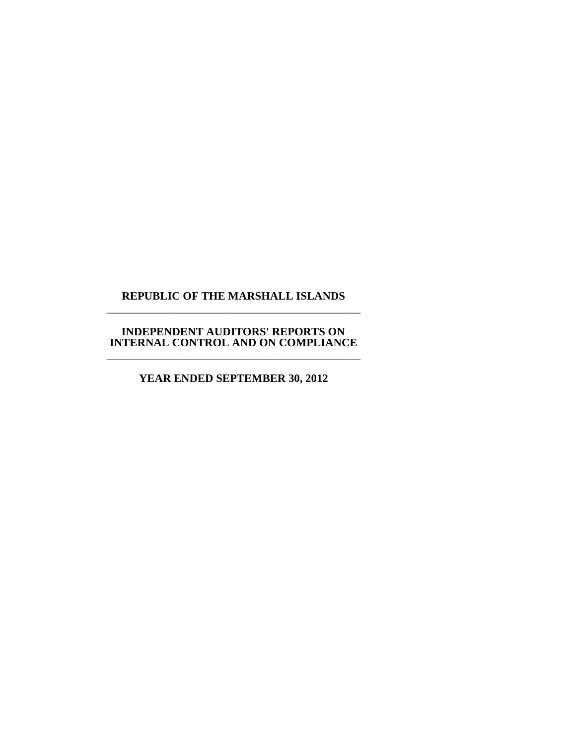# **REPUBLIC OF THE MARSHALL ISLANDS** \_\_\_\_\_\_\_\_\_\_\_\_\_\_\_\_\_\_\_\_\_\_\_\_\_\_\_\_\_\_\_\_\_\_\_\_\_\_\_\_\_\_\_\_\_

## **INDEPENDENT AUDITORS' REPORTS ON INTERNAL CONTROL AND ON COMPLIANCE** \_\_\_\_\_\_\_\_\_\_\_\_\_\_\_\_\_\_\_\_\_\_\_\_\_\_\_\_\_\_\_\_\_\_\_\_\_\_\_\_\_\_\_\_\_

**YEAR ENDED SEPTEMBER 30, 2012**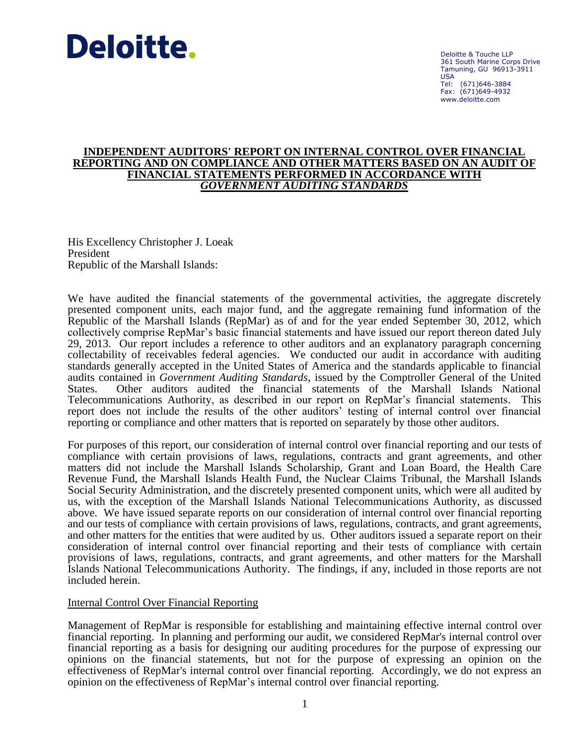# Deloitte.

Deloitte & Touche LLP 361 South Marine Corps Drive Tamuning, GU 96913-3911 USA Tel: (671)646-3884 Fax: (671)649-4932 www.deloitte.com

## **INDEPENDENT AUDITORS' REPORT ON INTERNAL CONTROL OVER FINANCIAL REPORTING AND ON COMPLIANCE AND OTHER MATTERS BASED ON AN AUDIT OF FINANCIAL STATEMENTS PERFORMED IN ACCORDANCE WITH** *GOVERNMENT AUDITING STANDARDS*

His Excellency Christopher J. Loeak President Republic of the Marshall Islands:

We have audited the financial statements of the governmental activities, the aggregate discretely presented component units, each major fund, and the aggregate remaining fund information of the Republic of the Marshall Islands (RepMar) as of and for the year ended September 30, 2012, which collectively comprise RepMar's basic financial statements and have issued our report thereon dated July 29, 2013. Our report includes a reference to other auditors and an explanatory paragraph concerning collectability of receivables federal agencies. We conducted our audit in accordance with auditing standards generally accepted in the United States of America and the standards applicable to financial audits contained in *Government Auditing Standards*, issued by the Comptroller General of the United States. Other auditors audited the financial statements of the Marshall Islands National Telecommunications Authority, as described in our report on RepMar's financial statements. This report does not include the results of the other auditors' testing of internal control over financial reporting or compliance and other matters that is reported on separately by those other auditors.

For purposes of this report, our consideration of internal control over financial reporting and our tests of compliance with certain provisions of laws, regulations, contracts and grant agreements, and other matters did not include the Marshall Islands Scholarship, Grant and Loan Board, the Health Care Revenue Fund, the Marshall Islands Health Fund, the Nuclear Claims Tribunal, the Marshall Islands Social Security Administration, and the discretely presented component units, which were all audited by us, with the exception of the Marshall Islands National Telecommunications Authority, as discussed above. We have issued separate reports on our consideration of internal control over financial reporting and our tests of compliance with certain provisions of laws, regulations, contracts, and grant agreements, and other matters for the entities that were audited by us. Other auditors issued a separate report on their consideration of internal control over financial reporting and their tests of compliance with certain provisions of laws, regulations, contracts, and grant agreements, and other matters for the Marshall Islands National Telecommunications Authority. The findings, if any, included in those reports are not included herein.

## Internal Control Over Financial Reporting

Management of RepMar is responsible for establishing and maintaining effective internal control over financial reporting. In planning and performing our audit, we considered RepMar's internal control over financial reporting as a basis for designing our auditing procedures for the purpose of expressing our opinions on the financial statements, but not for the purpose of expressing an opinion on the effectiveness of RepMar's internal control over financial reporting. Accordingly, we do not express an opinion on the effectiveness of RepMar's internal control over financial reporting.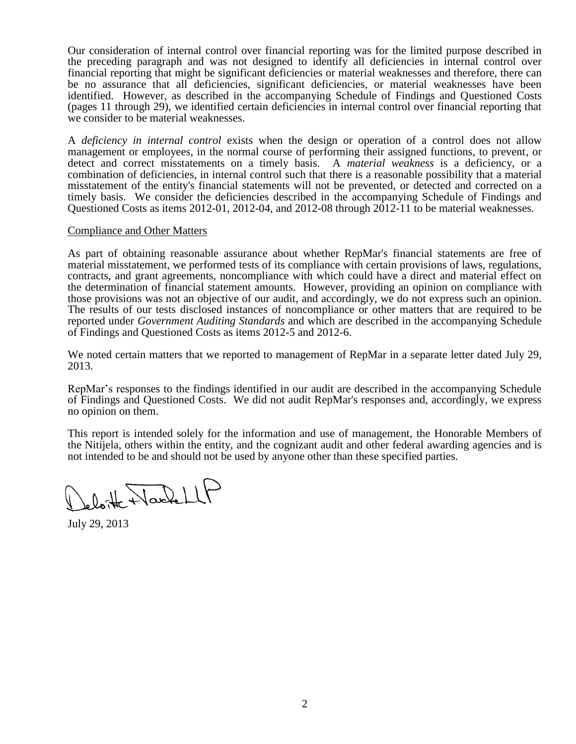Our consideration of internal control over financial reporting was for the limited purpose described in the preceding paragraph and was not designed to identify all deficiencies in internal control over financial reporting that might be significant deficiencies or material weaknesses and therefore, there can be no assurance that all deficiencies, significant deficiencies, or material weaknesses have been identified. However, as described in the accompanying Schedule of Findings and Questioned Costs (pages 11 through 29), we identified certain deficiencies in internal control over financial reporting that we consider to be material weaknesses.

A *deficiency in internal control* exists when the design or operation of a control does not allow management or employees, in the normal course of performing their assigned functions, to prevent, or detect and correct misstatements on a timely basis. A *material weakness* is a deficiency, or a combination of deficiencies, in internal control such that there is a reasonable possibility that a material misstatement of the entity's financial statements will not be prevented, or detected and corrected on a timely basis. We consider the deficiencies described in the accompanying Schedule of Findings and Questioned Costs as items 2012-01, 2012-04, and 2012-08 through 2012-11 to be material weaknesses.

## Compliance and Other Matters

As part of obtaining reasonable assurance about whether RepMar's financial statements are free of material misstatement, we performed tests of its compliance with certain provisions of laws, regulations, contracts, and grant agreements, noncompliance with which could have a direct and material effect on the determination of financial statement amounts. However, providing an opinion on compliance with those provisions was not an objective of our audit, and accordingly, we do not express such an opinion. The results of our tests disclosed instances of noncompliance or other matters that are required to be reported under *Government Auditing Standards* and which are described in the accompanying Schedule of Findings and Questioned Costs as items 2012-5 and 2012-6.

We noted certain matters that we reported to management of RepMar in a separate letter dated July 29, 2013.

RepMar's responses to the findings identified in our audit are described in the accompanying Schedule of Findings and Questioned Costs. We did not audit RepMar's responses and, accordingly, we express no opinion on them.

This report is intended solely for the information and use of management, the Honorable Members of the Nitijela, others within the entity, and the cognizant audit and other federal awarding agencies and is not intended to be and should not be used by anyone other than these specified parties.

lette Hardell

July 29, 2013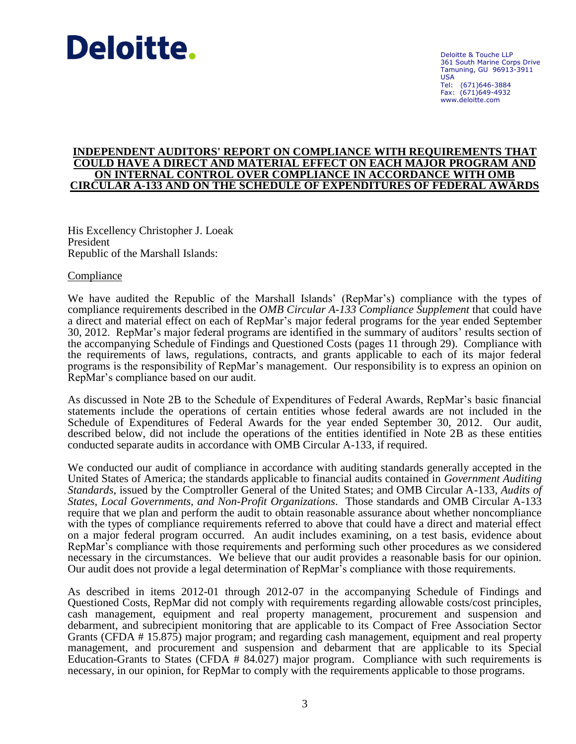# Deloitte.

Deloitte & Touche LLP 361 South Marine Corps Drive Tamuning, GU 96913-3911 USA Tel: (671)646-3884 Fax: (671)649-4932 www.deloitte.com

## **INDEPENDENT AUDITORS' REPORT ON COMPLIANCE WITH REQUIREMENTS THAT COULD HAVE A DIRECT AND MATERIAL EFFECT ON EACH MAJOR PROGRAM AND ON INTERNAL CONTROL OVER COMPLIANCE IN ACCORDANCE WITH OMB CIRCULAR A-133 AND ON THE SCHEDULE OF EXPENDITURES OF FEDERAL AWARDS**

His Excellency Christopher J. Loeak President Republic of the Marshall Islands:

## Compliance

We have audited the Republic of the Marshall Islands' (RepMar's) compliance with the types of compliance requirements described in the *OMB Circular A-133 Compliance Supplement* that could have a direct and material effect on each of RepMar's major federal programs for the year ended September 30, 2012. RepMar's major federal programs are identified in the summary of auditors' results section of the accompanying Schedule of Findings and Questioned Costs (pages 11 through 29). Compliance with the requirements of laws, regulations, contracts, and grants applicable to each of its major federal programs is the responsibility of RepMar's management. Our responsibility is to express an opinion on RepMar's compliance based on our audit.

As discussed in Note 2B to the Schedule of Expenditures of Federal Awards, RepMar's basic financial statements include the operations of certain entities whose federal awards are not included in the Schedule of Expenditures of Federal Awards for the year ended September 30, 2012. Our audit, described below, did not include the operations of the entities identified in Note 2B as these entities conducted separate audits in accordance with OMB Circular A-133, if required.

We conducted our audit of compliance in accordance with auditing standards generally accepted in the United States of America; the standards applicable to financial audits contained in *Government Auditing Standards*, issued by the Comptroller General of the United States; and OMB Circular A-133, *Audits of States, Local Governments, and Non-Profit Organizations*. Those standards and OMB Circular A-133 require that we plan and perform the audit to obtain reasonable assurance about whether noncompliance with the types of compliance requirements referred to above that could have a direct and material effect on a major federal program occurred. An audit includes examining, on a test basis, evidence about RepMar's compliance with those requirements and performing such other procedures as we considered necessary in the circumstances. We believe that our audit provides a reasonable basis for our opinion. Our audit does not provide a legal determination of RepMar's compliance with those requirements.

As described in items 2012-01 through 2012-07 in the accompanying Schedule of Findings and Questioned Costs, RepMar did not comply with requirements regarding allowable costs/cost principles, cash management, equipment and real property management, procurement and suspension and debarment, and subrecipient monitoring that are applicable to its Compact of Free Association Sector Grants (CFDA # 15.875) major program; and regarding cash management, equipment and real property management, and procurement and suspension and debarment that are applicable to its Special Education-Grants to States (CFDA # 84.027) major program. Compliance with such requirements is necessary, in our opinion, for RepMar to comply with the requirements applicable to those programs.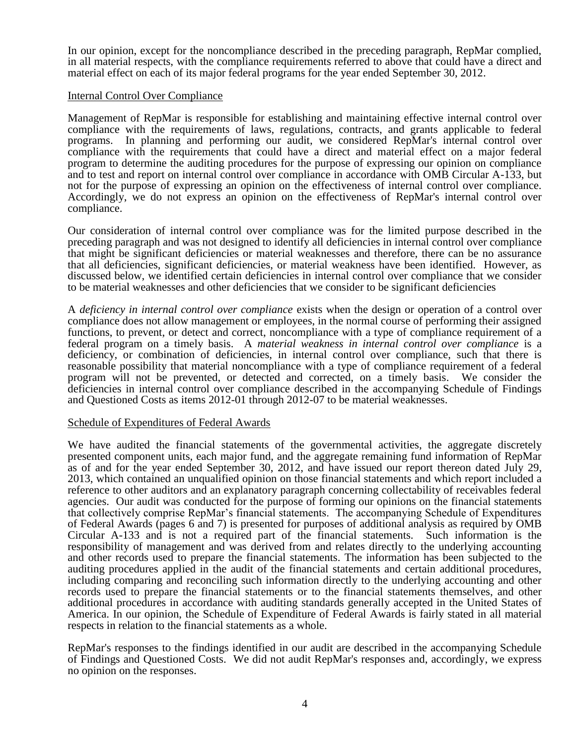In our opinion, except for the noncompliance described in the preceding paragraph, RepMar complied, in all material respects, with the compliance requirements referred to above that could have a direct and material effect on each of its major federal programs for the year ended September 30, 2012.

## Internal Control Over Compliance

Management of RepMar is responsible for establishing and maintaining effective internal control over compliance with the requirements of laws, regulations, contracts, and grants applicable to federal programs. In planning and performing our audit, we considered RepMar's internal control over compliance with the requirements that could have a direct and material effect on a major federal program to determine the auditing procedures for the purpose of expressing our opinion on compliance and to test and report on internal control over compliance in accordance with OMB Circular A-133, but not for the purpose of expressing an opinion on the effectiveness of internal control over compliance. Accordingly, we do not express an opinion on the effectiveness of RepMar's internal control over compliance.

Our consideration of internal control over compliance was for the limited purpose described in the preceding paragraph and was not designed to identify all deficiencies in internal control over compliance that might be significant deficiencies or material weaknesses and therefore, there can be no assurance that all deficiencies, significant deficiencies, or material weakness have been identified. However, as discussed below, we identified certain deficiencies in internal control over compliance that we consider to be material weaknesses and other deficiencies that we consider to be significant deficiencies

A *deficiency in internal control over compliance* exists when the design or operation of a control over compliance does not allow management or employees, in the normal course of performing their assigned functions, to prevent, or detect and correct, noncompliance with a type of compliance requirement of a federal program on a timely basis. A *material weakness in internal control over compliance* is a deficiency, or combination of deficiencies, in internal control over compliance, such that there is reasonable possibility that material noncompliance with a type of compliance requirement of a federal program will not be prevented, or detected and corrected, on a timely basis. We consider the deficiencies in internal control over compliance described in the accompanying Schedule of Findings and Questioned Costs as items 2012-01 through 2012-07 to be material weaknesses.

## Schedule of Expenditures of Federal Awards

We have audited the financial statements of the governmental activities, the aggregate discretely presented component units, each major fund, and the aggregate remaining fund information of RepMar as of and for the year ended September 30, 2012, and have issued our report thereon dated July 29, 2013, which contained an unqualified opinion on those financial statements and which report included a reference to other auditors and an explanatory paragraph concerning collectability of receivables federal agencies. Our audit was conducted for the purpose of forming our opinions on the financial statements that collectively comprise RepMar's financial statements. The accompanying Schedule of Expenditures of Federal Awards (pages 6 and 7) is presented for purposes of additional analysis as required by OMB Circular A-133 and is not a required part of the financial statements. Such information is the responsibility of management and was derived from and relates directly to the underlying accounting and other records used to prepare the financial statements. The information has been subjected to the auditing procedures applied in the audit of the financial statements and certain additional procedures, including comparing and reconciling such information directly to the underlying accounting and other records used to prepare the financial statements or to the financial statements themselves, and other additional procedures in accordance with auditing standards generally accepted in the United States of America. In our opinion, the Schedule of Expenditure of Federal Awards is fairly stated in all material respects in relation to the financial statements as a whole.

RepMar's responses to the findings identified in our audit are described in the accompanying Schedule of Findings and Questioned Costs. We did not audit RepMar's responses and, accordingly, we express no opinion on the responses.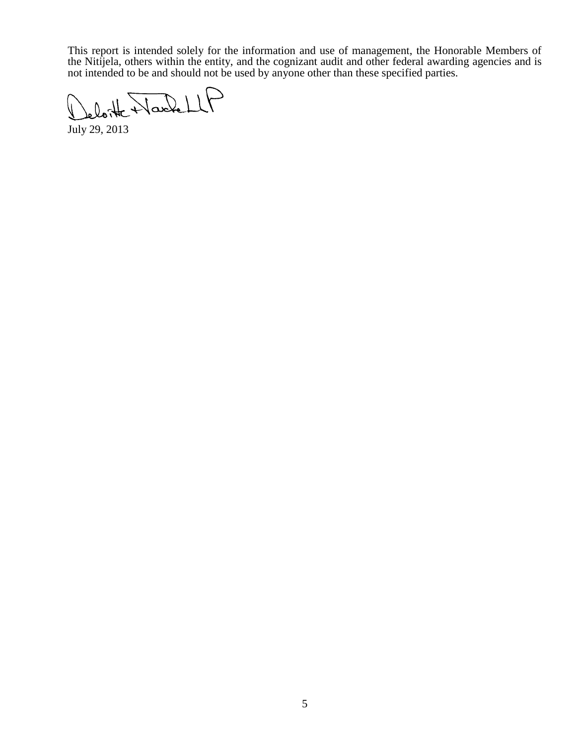This report is intended solely for the information and use of management, the Honorable Members of the Nitijela, others within the entity, and the cognizant audit and other federal awarding agencies and is not intended to be and should not be used by anyone other than these specified parties.

loite NachellP

July 29, 2013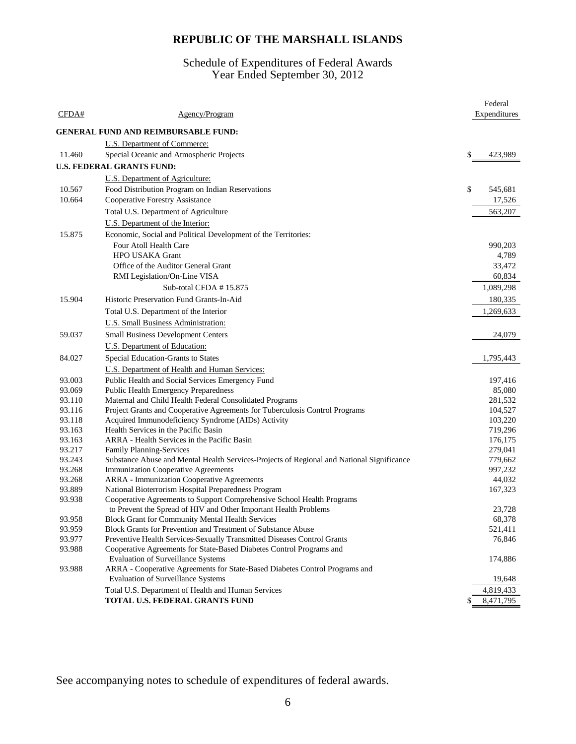## Schedule of Expenditures of Federal Awards Year Ended September 30, 2012

|        |                                                                                                                             | Federal          |
|--------|-----------------------------------------------------------------------------------------------------------------------------|------------------|
| CFDA#  | Agency/Program                                                                                                              | Expenditures     |
|        | <b>GENERAL FUND AND REIMBURSABLE FUND:</b>                                                                                  |                  |
|        | <b>U.S. Department of Commerce:</b>                                                                                         |                  |
| 11.460 | Special Oceanic and Atmospheric Projects                                                                                    | \$<br>423,989    |
|        | <b>U.S. FEDERAL GRANTS FUND:</b>                                                                                            |                  |
|        | U.S. Department of Agriculture:                                                                                             |                  |
| 10.567 | Food Distribution Program on Indian Reservations                                                                            | \$<br>545,681    |
| 10.664 | <b>Cooperative Forestry Assistance</b>                                                                                      | 17,526           |
|        |                                                                                                                             |                  |
|        | Total U.S. Department of Agriculture                                                                                        | 563,207          |
|        | U.S. Department of the Interior:                                                                                            |                  |
| 15.875 | Economic, Social and Political Development of the Territories:                                                              |                  |
|        | Four Atoll Health Care                                                                                                      | 990,203          |
|        | <b>HPO USAKA Grant</b>                                                                                                      | 4,789            |
|        | Office of the Auditor General Grant                                                                                         | 33,472           |
|        | RMI Legislation/On-Line VISA                                                                                                | 60,834           |
|        | Sub-total CFDA #15.875                                                                                                      | 1,089,298        |
| 15.904 | Historic Preservation Fund Grants-In-Aid                                                                                    | 180,335          |
|        | Total U.S. Department of the Interior                                                                                       | 1,269,633        |
|        | U.S. Small Business Administration:                                                                                         |                  |
| 59.037 | <b>Small Business Development Centers</b>                                                                                   | 24,079           |
|        | <b>U.S. Department of Education:</b>                                                                                        |                  |
| 84.027 | Special Education-Grants to States                                                                                          | 1,795,443        |
|        | U.S. Department of Health and Human Services:                                                                               |                  |
| 93.003 | Public Health and Social Services Emergency Fund                                                                            | 197,416          |
| 93.069 | <b>Public Health Emergency Preparedness</b>                                                                                 | 85,080           |
| 93.110 | Maternal and Child Health Federal Consolidated Programs                                                                     | 281,532          |
| 93.116 | Project Grants and Cooperative Agreements for Tuberculosis Control Programs                                                 | 104,527          |
| 93.118 | Acquired Immunodeficiency Syndrome (AIDs) Activity                                                                          | 103,220          |
| 93.163 | Health Services in the Pacific Basin                                                                                        | 719,296          |
| 93.163 | ARRA - Health Services in the Pacific Basin                                                                                 | 176,175          |
| 93.217 | <b>Family Planning-Services</b>                                                                                             | 279,041          |
| 93.243 | Substance Abuse and Mental Health Services-Projects of Regional and National Significance                                   | 779,662          |
| 93.268 | <b>Immunization Cooperative Agreements</b>                                                                                  | 997,232          |
| 93.268 | ARRA - Immunization Cooperative Agreements                                                                                  | 44,032           |
| 93.889 | National Bioterrorism Hospital Preparedness Program                                                                         | 167,323          |
| 93.938 | Cooperative Agreements to Support Comprehensive School Health Programs                                                      |                  |
| 93.958 | to Prevent the Spread of HIV and Other Important Health Problems<br><b>Block Grant for Community Mental Health Services</b> | 23,728<br>68,378 |
| 93.959 | Block Grants for Prevention and Treatment of Substance Abuse                                                                | 521,411          |
| 93.977 | Preventive Health Services-Sexually Transmitted Diseases Control Grants                                                     | 76,846           |
| 93.988 | Cooperative Agreements for State-Based Diabetes Control Programs and                                                        |                  |
|        | <b>Evaluation of Surveillance Systems</b>                                                                                   | 174,886          |
| 93.988 | ARRA - Cooperative Agreements for State-Based Diabetes Control Programs and                                                 |                  |
|        | <b>Evaluation of Surveillance Systems</b>                                                                                   | 19,648           |
|        | Total U.S. Department of Health and Human Services                                                                          | 4,819,433        |
|        | TOTAL U.S. FEDERAL GRANTS FUND                                                                                              | 8,471,795        |

See accompanying notes to schedule of expenditures of federal awards.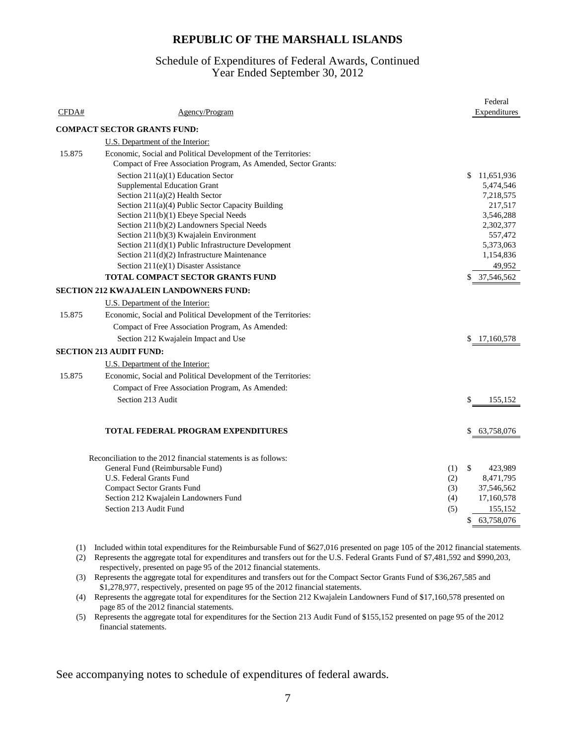#### Year Ended September 30, 2012 Schedule of Expenditures of Federal Awards, Continued

|        |                                                                                                                                                                                                                                                                                                                                                                                                                                                  |                                 | Federal                                                                                                                        |
|--------|--------------------------------------------------------------------------------------------------------------------------------------------------------------------------------------------------------------------------------------------------------------------------------------------------------------------------------------------------------------------------------------------------------------------------------------------------|---------------------------------|--------------------------------------------------------------------------------------------------------------------------------|
| CFDA#  | Agency/Program                                                                                                                                                                                                                                                                                                                                                                                                                                   |                                 | Expenditures                                                                                                                   |
|        | <b>COMPACT SECTOR GRANTS FUND:</b>                                                                                                                                                                                                                                                                                                                                                                                                               |                                 |                                                                                                                                |
|        | U.S. Department of the Interior:                                                                                                                                                                                                                                                                                                                                                                                                                 |                                 |                                                                                                                                |
| 15.875 | Economic, Social and Political Development of the Territories:<br>Compact of Free Association Program, As Amended, Sector Grants:                                                                                                                                                                                                                                                                                                                |                                 |                                                                                                                                |
|        | Section $211(a)(1)$ Education Sector<br>Supplemental Education Grant<br>Section 211(a)(2) Health Sector<br>Section 211(a)(4) Public Sector Capacity Building<br>Section 211(b)(1) Ebeye Special Needs<br>Section 211(b)(2) Landowners Special Needs<br>Section 211(b)(3) Kwajalein Environment<br>Section 211(d)(1) Public Infrastructure Development<br>Section $211(d)(2)$ Infrastructure Maintenance<br>Section 211(e)(1) Disaster Assistance |                                 | \$<br>11,651,936<br>5,474,546<br>7,218,575<br>217,517<br>3,546,288<br>2,302,377<br>557,472<br>5,373,063<br>1,154,836<br>49,952 |
|        | TOTAL COMPACT SECTOR GRANTS FUND                                                                                                                                                                                                                                                                                                                                                                                                                 |                                 | 37,546,562                                                                                                                     |
|        | <b>SECTION 212 KWAJALEIN LANDOWNERS FUND:</b>                                                                                                                                                                                                                                                                                                                                                                                                    |                                 |                                                                                                                                |
|        | U.S. Department of the Interior:                                                                                                                                                                                                                                                                                                                                                                                                                 |                                 |                                                                                                                                |
| 15.875 | Economic, Social and Political Development of the Territories:<br>Compact of Free Association Program, As Amended:                                                                                                                                                                                                                                                                                                                               |                                 |                                                                                                                                |
|        | Section 212 Kwajalein Impact and Use                                                                                                                                                                                                                                                                                                                                                                                                             |                                 | \$17,160,578                                                                                                                   |
|        | <b>SECTION 213 AUDIT FUND:</b>                                                                                                                                                                                                                                                                                                                                                                                                                   |                                 |                                                                                                                                |
|        |                                                                                                                                                                                                                                                                                                                                                                                                                                                  |                                 |                                                                                                                                |
| 15.875 | U.S. Department of the Interior:<br>Economic, Social and Political Development of the Territories:                                                                                                                                                                                                                                                                                                                                               |                                 |                                                                                                                                |
|        | Compact of Free Association Program, As Amended:                                                                                                                                                                                                                                                                                                                                                                                                 |                                 |                                                                                                                                |
|        | Section 213 Audit                                                                                                                                                                                                                                                                                                                                                                                                                                |                                 | \$<br>155,152                                                                                                                  |
|        | <b>TOTAL FEDERAL PROGRAM EXPENDITURES</b>                                                                                                                                                                                                                                                                                                                                                                                                        |                                 | \$<br>63,758,076                                                                                                               |
|        | Reconciliation to the 2012 financial statements is as follows:<br>General Fund (Reimbursable Fund)<br>U.S. Federal Grants Fund<br><b>Compact Sector Grants Fund</b><br>Section 212 Kwajalein Landowners Fund<br>Section 213 Audit Fund                                                                                                                                                                                                           | (1)<br>(2)<br>(3)<br>(4)<br>(5) | <sup>\$</sup><br>423,989<br>8,471,795<br>37,546,562<br>17,160,578<br>155,152<br>63,758,076                                     |

(1) Included within total expenditures for the Reimbursable Fund of \$627,016 presented on page 105 of the 2012 financial statements.

(2) Represents the aggregate total for expenditures and transfers out for the U.S. Federal Grants Fund of \$7,481,592 and \$990,203, respectively, presented on page 95 of the 2012 financial statements.

(3) Represents the aggregate total for expenditures and transfers out for the Compact Sector Grants Fund of \$36,267,585 and \$1,278,977, respectively, presented on page 95 of the 2012 financial statements.

(4) Represents the aggregate total for expenditures for the Section 212 Kwajalein Landowners Fund of \$17,160,578 presented on page 85 of the 2012 financial statements.

(5) Represents the aggregate total for expenditures for the Section 213 Audit Fund of \$155,152 presented on page 95 of the 2012 financial statements.

See accompanying notes to schedule of expenditures of federal awards.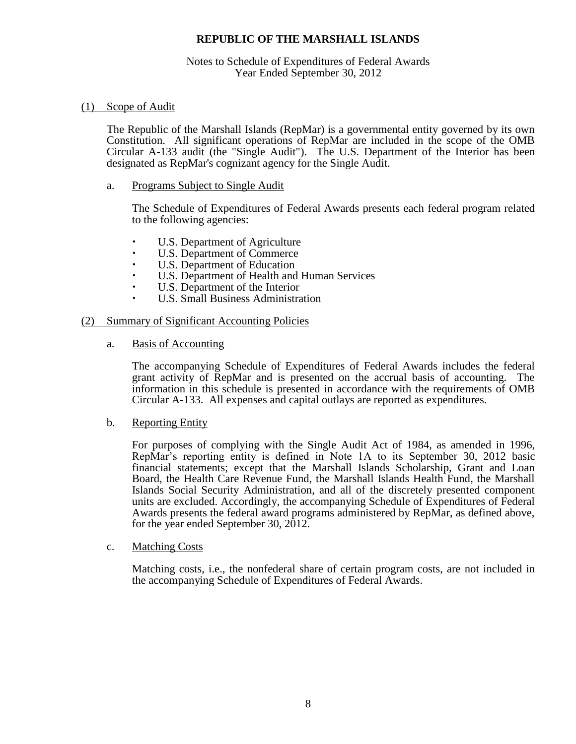## Notes to Schedule of Expenditures of Federal Awards Year Ended September 30, 2012

## (1) Scope of Audit

The Republic of the Marshall Islands (RepMar) is a governmental entity governed by its own Constitution. All significant operations of RepMar are included in the scope of the OMB Circular A-133 audit (the "Single Audit"). The U.S. Department of the Interior has been designated as RepMar's cognizant agency for the Single Audit.

a. Programs Subject to Single Audit

The Schedule of Expenditures of Federal Awards presents each federal program related to the following agencies:

- U.S. Department of Agriculture
- U.S. Department of Commerce
- U.S. Department of Education
- U.S. Department of Health and Human Services
- U.S. Department of the Interior
- U.S. Small Business Administration

## (2) Summary of Significant Accounting Policies

a. Basis of Accounting

The accompanying Schedule of Expenditures of Federal Awards includes the federal grant activity of RepMar and is presented on the accrual basis of accounting. The information in this schedule is presented in accordance with the requirements of OMB Circular A-133. All expenses and capital outlays are reported as expenditures.

b. Reporting Entity

For purposes of complying with the Single Audit Act of 1984, as amended in 1996, RepMar's reporting entity is defined in Note 1A to its September 30, 2012 basic financial statements; except that the Marshall Islands Scholarship, Grant and Loan Board, the Health Care Revenue Fund, the Marshall Islands Health Fund, the Marshall Islands Social Security Administration, and all of the discretely presented component units are excluded. Accordingly, the accompanying Schedule of Expenditures of Federal Awards presents the federal award programs administered by RepMar, as defined above, for the year ended September 30, 2012.

c. Matching Costs

Matching costs, i.e., the nonfederal share of certain program costs, are not included in the accompanying Schedule of Expenditures of Federal Awards.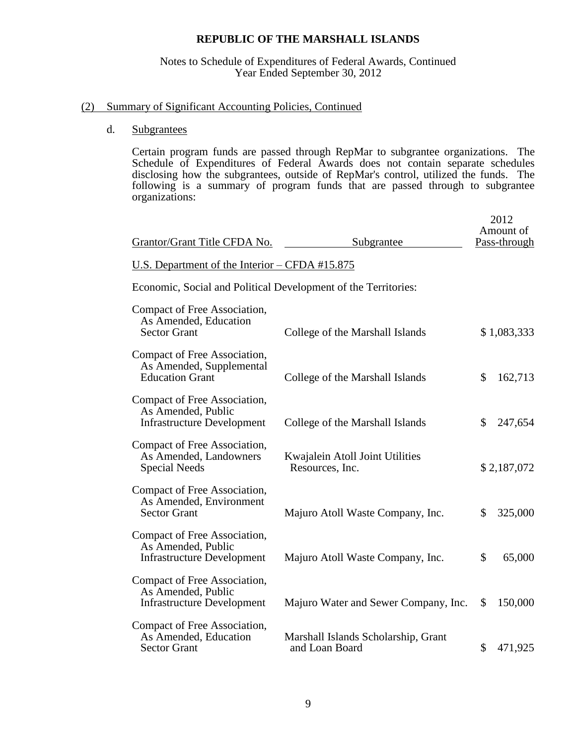## Notes to Schedule of Expenditures of Federal Awards, Continued Year Ended September 30, 2012

## (2) Summary of Significant Accounting Policies, Continued

d. Subgrantees

Certain program funds are passed through RepMar to subgrantee organizations. The Schedule of Expenditures of Federal Awards does not contain separate schedules disclosing how the subgrantees, outside of RepMar's control, utilized the funds. The following is a summary of program funds that are passed through to subgrantee organizations:

| Grantor/Grant Title CFDA No.                                                            | Subgrantee                                            | 2012<br>Amount of<br>Pass-through |
|-----------------------------------------------------------------------------------------|-------------------------------------------------------|-----------------------------------|
| U.S. Department of the Interior – CFDA #15.875                                          |                                                       |                                   |
| Economic, Social and Political Development of the Territories:                          |                                                       |                                   |
| Compact of Free Association,<br>As Amended, Education<br><b>Sector Grant</b>            | College of the Marshall Islands                       | \$1,083,333                       |
| Compact of Free Association,<br>As Amended, Supplemental<br><b>Education Grant</b>      | College of the Marshall Islands                       | \$<br>162,713                     |
| Compact of Free Association,<br>As Amended, Public<br><b>Infrastructure Development</b> | College of the Marshall Islands                       | \$<br>247,654                     |
| Compact of Free Association,<br>As Amended, Landowners<br><b>Special Needs</b>          | Kwajalein Atoll Joint Utilities<br>Resources, Inc.    | \$2,187,072                       |
| Compact of Free Association,<br>As Amended, Environment<br><b>Sector Grant</b>          | Majuro Atoll Waste Company, Inc.                      | \$<br>325,000                     |
| Compact of Free Association,<br>As Amended, Public<br><b>Infrastructure Development</b> | Majuro Atoll Waste Company, Inc.                      | \$<br>65,000                      |
| Compact of Free Association,<br>As Amended, Public<br><b>Infrastructure Development</b> | Majuro Water and Sewer Company, Inc.                  | \$<br>150,000                     |
| Compact of Free Association,<br>As Amended, Education<br><b>Sector Grant</b>            | Marshall Islands Scholarship, Grant<br>and Loan Board | \$<br>471,925                     |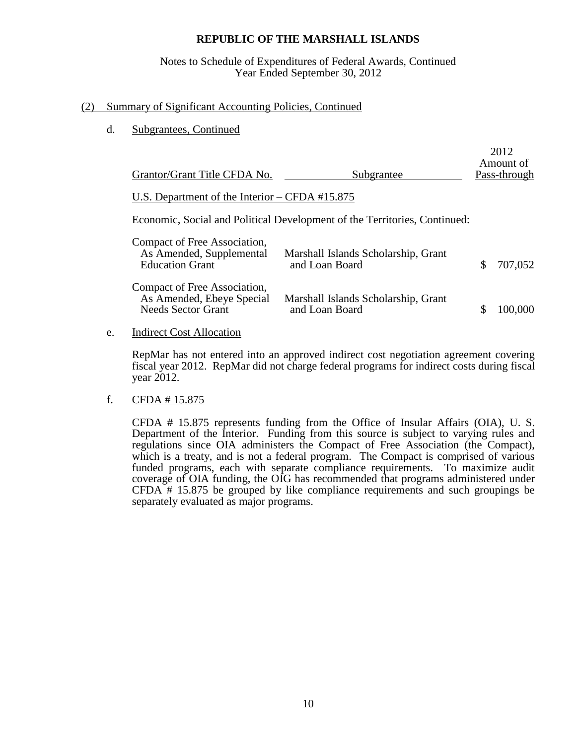## Notes to Schedule of Expenditures of Federal Awards, Continued Year Ended September 30, 2012

# (2) Summary of Significant Accounting Policies, Continued

# d. Subgrantees, Continued

| Grantor/Grant Title CFDA No.                                                           | Subgrantee                                                                | 2012<br>Amount of<br>Pass-through |
|----------------------------------------------------------------------------------------|---------------------------------------------------------------------------|-----------------------------------|
| U.S. Department of the Interior $-$ CFDA #15.875                                       |                                                                           |                                   |
|                                                                                        | Economic, Social and Political Development of the Territories, Continued: |                                   |
| Compact of Free Association,<br>As Amended, Supplemental<br><b>Education Grant</b>     | Marshall Islands Scholarship, Grant<br>and Loan Board                     | 707,052                           |
| Compact of Free Association,<br>As Amended, Ebeye Special<br><b>Needs Sector Grant</b> | Marshall Islands Scholarship, Grant<br>and Loan Board                     | 100,000                           |

## e. Indirect Cost Allocation

RepMar has not entered into an approved indirect cost negotiation agreement covering fiscal year 2012. RepMar did not charge federal programs for indirect costs during fiscal year 2012.

# f. CFDA # 15.875

CFDA # 15.875 represents funding from the Office of Insular Affairs (OIA), U. S. Department of the Interior. Funding from this source is subject to varying rules and regulations since OIA administers the Compact of Free Association (the Compact), which is a treaty, and is not a federal program. The Compact is comprised of various funded programs, each with separate compliance requirements. To maximize audit coverage of OIA funding, the OIG has recommended that programs administered under CFDA # 15.875 be grouped by like compliance requirements and such groupings be separately evaluated as major programs.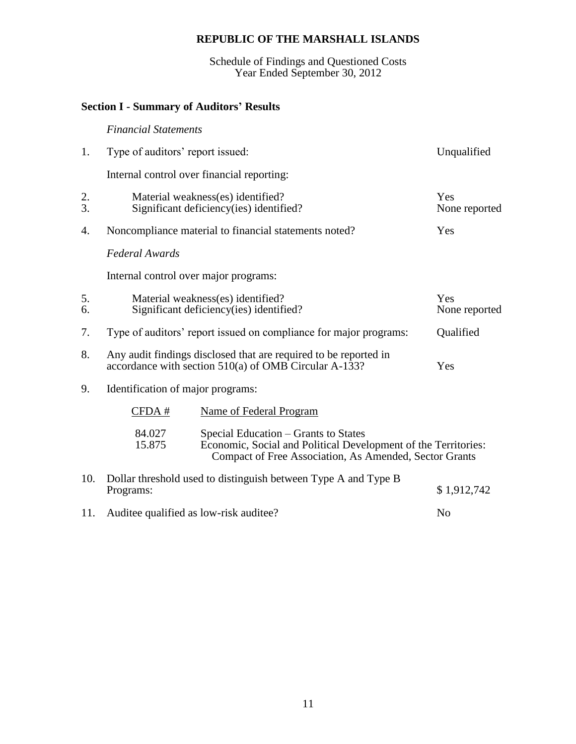Schedule of Findings and Questioned Costs Year Ended September 30, 2012

# **Section I - Summary of Auditors' Results**

*Financial Statements*

| 1.            | Type of auditors' report issued:                                                                                                 | Unqualified                                                                                                                                                      |     |  |  |
|---------------|----------------------------------------------------------------------------------------------------------------------------------|------------------------------------------------------------------------------------------------------------------------------------------------------------------|-----|--|--|
|               |                                                                                                                                  | Internal control over financial reporting:                                                                                                                       |     |  |  |
| $rac{2}{3}$ . | Material weakness(es) identified?<br>Yes<br>Significant deficiency(ies) identified?<br>None reported                             |                                                                                                                                                                  |     |  |  |
| 4.            |                                                                                                                                  | Noncompliance material to financial statements noted?                                                                                                            | Yes |  |  |
|               | <b>Federal Awards</b>                                                                                                            |                                                                                                                                                                  |     |  |  |
|               |                                                                                                                                  | Internal control over major programs:                                                                                                                            |     |  |  |
| 5.<br>6.      | Material weakness(es) identified?<br>Yes<br>Significant deficiency(ies) identified?<br>None reported                             |                                                                                                                                                                  |     |  |  |
| 7.            | Type of auditors' report issued on compliance for major programs:<br>Qualified                                                   |                                                                                                                                                                  |     |  |  |
| 8.            | Any audit findings disclosed that are required to be reported in<br>accordance with section 510(a) of OMB Circular A-133?<br>Yes |                                                                                                                                                                  |     |  |  |
| 9.            | Identification of major programs:                                                                                                |                                                                                                                                                                  |     |  |  |
|               | CFDA#                                                                                                                            | Name of Federal Program                                                                                                                                          |     |  |  |
|               | 84.027<br>15.875                                                                                                                 | Special Education - Grants to States<br>Economic, Social and Political Development of the Territories:<br>Compact of Free Association, As Amended, Sector Grants |     |  |  |
| 10.           | Dollar threshold used to distinguish between Type A and Type B<br>\$1,912,742<br>Programs:                                       |                                                                                                                                                                  |     |  |  |
| 11.           | Auditee qualified as low-risk auditee?<br>N <sub>o</sub>                                                                         |                                                                                                                                                                  |     |  |  |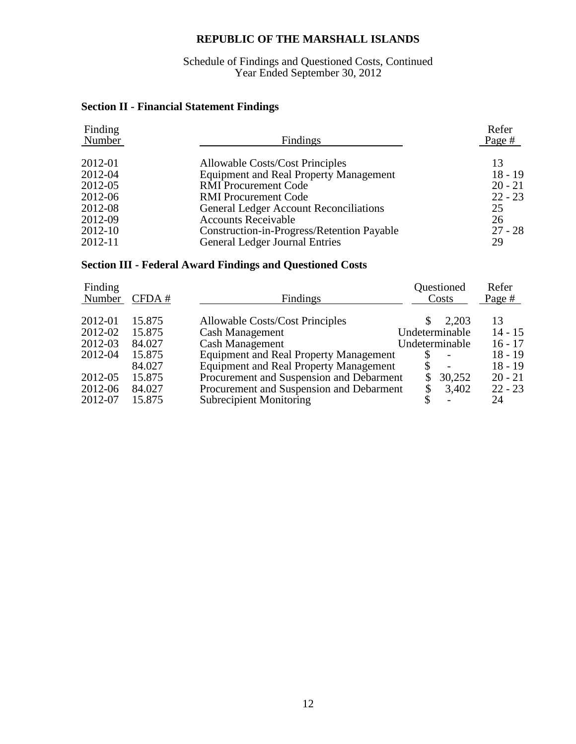#### Schedule of Findings and Questioned Costs, Continued Year Ended September 30, 2012

# **Section II - Financial Statement Findings**

| Finding<br>Number | Findings                                      | Refer<br>Page # |
|-------------------|-----------------------------------------------|-----------------|
|                   |                                               |                 |
| 2012-01           | <b>Allowable Costs/Cost Principles</b>        | 13              |
| 2012-04           | <b>Equipment and Real Property Management</b> | $18 - 19$       |
| 2012-05           | <b>RMI</b> Procurement Code                   | $20 - 21$       |
| 2012-06           | <b>RMI</b> Procurement Code                   | $22 - 23$       |
| 2012-08           | <b>General Ledger Account Reconciliations</b> | 25              |
| 2012-09           | <b>Accounts Receivable</b>                    | 26              |
| 2012-10           | Construction-in-Progress/Retention Payable    | $27 - 28$       |
| 2012-11           | <b>General Ledger Journal Entries</b>         | 29              |

# **Section III - Federal Award Findings and Questioned Costs**

| CFDA#  | Findings                               |                                                                                                |                                                                                      | Refer<br>Page #                                         |
|--------|----------------------------------------|------------------------------------------------------------------------------------------------|--------------------------------------------------------------------------------------|---------------------------------------------------------|
| 15.875 | <b>Allowable Costs/Cost Principles</b> |                                                                                                | 2,203                                                                                | 13                                                      |
| 15.875 | <b>Cash Management</b>                 |                                                                                                |                                                                                      | $14 - 15$                                               |
| 84.027 | <b>Cash Management</b>                 |                                                                                                |                                                                                      | $16 - 17$                                               |
| 15.875 |                                        |                                                                                                |                                                                                      | $18 - 19$                                               |
| 84.027 |                                        |                                                                                                |                                                                                      | $18 - 19$                                               |
| 15.875 |                                        |                                                                                                | 30,252                                                                               | $20 - 21$                                               |
| 84.027 |                                        |                                                                                                | 3,402                                                                                | $22 - 23$                                               |
| 15.875 | <b>Subrecipient Monitoring</b>         |                                                                                                |                                                                                      | 24                                                      |
|        |                                        | <b>Equipment and Real Property Management</b><br><b>Equipment and Real Property Management</b> | Procurement and Suspension and Debarment<br>Procurement and Suspension and Debarment | Questioned<br>Costs<br>Undeterminable<br>Undeterminable |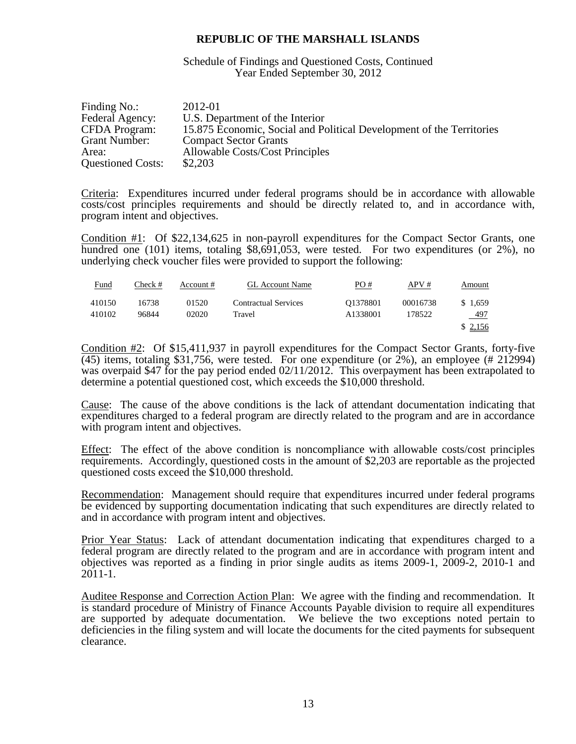Schedule of Findings and Questioned Costs, Continued Year Ended September 30, 2012

| Finding No.:             | 2012-01                                                              |
|--------------------------|----------------------------------------------------------------------|
| Federal Agency:          | U.S. Department of the Interior                                      |
| <b>CFDA</b> Program:     | 15.875 Economic, Social and Political Development of the Territories |
| Grant Number:            | <b>Compact Sector Grants</b>                                         |
| Area:                    | <b>Allowable Costs/Cost Principles</b>                               |
| <b>Questioned Costs:</b> | \$2,203                                                              |

Criteria: Expenditures incurred under federal programs should be in accordance with allowable costs/cost principles requirements and should be directly related to, and in accordance with, program intent and objectives.

Condition #1: Of \$22,134,625 in non-payroll expenditures for the Compact Sector Grants, one hundred one (101) items, totaling \$8,691,053, were tested. For two expenditures (or 2%), no underlying check voucher files were provided to support the following:

| <b>Fund</b> | Check # | Account # | <b>GL</b> Account Name      | PO#      | APV#     | Amount  |
|-------------|---------|-----------|-----------------------------|----------|----------|---------|
| 410150      | 16738   | 01520     | <b>Contractual Services</b> | Q1378801 | 00016738 | \$1,659 |
| 410102      | 96844   | 02020     | Travel                      | A1338001 | 178522   | 497     |
|             |         |           |                             |          |          | \$2,156 |

Condition #2: Of \$15,411,937 in payroll expenditures for the Compact Sector Grants, forty-five (45) items, totaling \$31,756, were tested. For one expenditure (or 2%), an employee (# 212994) was overpaid \$47 for the pay period ended 02/11/2012. This overpayment has been extrapolated to determine a potential questioned cost, which exceeds the \$10,000 threshold.

Cause: The cause of the above conditions is the lack of attendant documentation indicating that expenditures charged to a federal program are directly related to the program and are in accordance with program intent and objectives.

Effect: The effect of the above condition is noncompliance with allowable costs/cost principles requirements. Accordingly, questioned costs in the amount of \$2,203 are reportable as the projected questioned costs exceed the \$10,000 threshold.

Recommendation: Management should require that expenditures incurred under federal programs be evidenced by supporting documentation indicating that such expenditures are directly related to and in accordance with program intent and objectives.

Prior Year Status: Lack of attendant documentation indicating that expenditures charged to a federal program are directly related to the program and are in accordance with program intent and objectives was reported as a finding in prior single audits as items 2009-1, 2009-2, 2010-1 and  $2011 - 1$ .

Auditee Response and Correction Action Plan: We agree with the finding and recommendation. It is standard procedure of Ministry of Finance Accounts Payable division to require all expenditures are supported by adequate documentation. We believe the two exceptions noted pertain to deficiencies in the filing system and will locate the documents for the cited payments for subsequent clearance.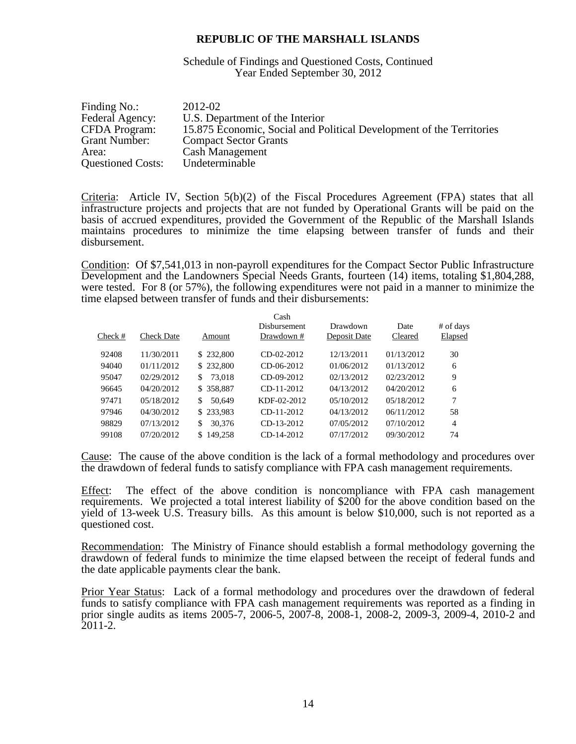Schedule of Findings and Questioned Costs, Continued Year Ended September 30, 2012

| Finding No.:             | 2012-02                                                              |
|--------------------------|----------------------------------------------------------------------|
| Federal Agency:          | U.S. Department of the Interior                                      |
| <b>CFDA</b> Program:     | 15.875 Economic, Social and Political Development of the Territories |
| Grant Number:            | <b>Compact Sector Grants</b>                                         |
| Area:                    | <b>Cash Management</b>                                               |
| <b>Questioned Costs:</b> | Undeterminable                                                       |

Criteria: Article IV, Section 5(b)(2) of the Fiscal Procedures Agreement (FPA) states that all infrastructure projects and projects that are not funded by Operational Grants will be paid on the basis of accrued expenditures, provided the Government of the Republic of the Marshall Islands maintains procedures to minimize the time elapsing between transfer of funds and their disbursement.

Condition: Of \$7,541,013 in non-payroll expenditures for the Compact Sector Public Infrastructure Development and the Landowners Special Needs Grants, fourteen (14) items, totaling \$1,804,288, were tested. For 8 (or 57%), the following expenditures were not paid in a manner to minimize the time elapsed between transfer of funds and their disbursements:

| Check # | <b>Check Date</b> | Amount         | Cash<br><b>Disbursement</b><br>Drawdown # | Drawdown<br>Deposit Date | Date<br>Cleared | # of days<br>Elapsed |
|---------|-------------------|----------------|-------------------------------------------|--------------------------|-----------------|----------------------|
| 92408   | 11/30/2011        | \$232,800      | CD-02-2012                                | 12/13/2011               | 01/13/2012      | 30                   |
| 94040   | 01/11/2012        | \$232,800      | $CD-06-2012$                              | 01/06/2012               | 01/13/2012      | 6                    |
| 95047   | 02/29/2012        | \$<br>73,018   | CD-09-2012                                | 02/13/2012               | 02/23/2012      | 9                    |
| 96645   | 04/20/2012        | \$358,887      | $CD-11-2012$                              | 04/13/2012               | 04/20/2012      | 6                    |
| 97471   | 05/18/2012        | S<br>50.649    | KDF-02-2012                               | 05/10/2012               | 05/18/2012      | 7                    |
| 97946   | 04/30/2012        | \$233,983      | $CD-11-2012$                              | 04/13/2012               | 06/11/2012      | 58                   |
| 98829   | 07/13/2012        | \$<br>30,376   | CD-13-2012                                | 07/05/2012               | 07/10/2012      | 4                    |
| 99108   | 07/20/2012        | 149.258<br>\$. | $CD-14-2012$                              | 07/17/2012               | 09/30/2012      | 74                   |

Cause: The cause of the above condition is the lack of a formal methodology and procedures over the drawdown of federal funds to satisfy compliance with FPA cash management requirements.

Effect: The effect of the above condition is noncompliance with FPA cash management requirements. We projected a total interest liability of \$200 for the above condition based on the yield of 13-week U.S. Treasury bills. As this amount is below \$10,000, such is not reported as a questioned cost.

Recommendation: The Ministry of Finance should establish a formal methodology governing the drawdown of federal funds to minimize the time elapsed between the receipt of federal funds and the date applicable payments clear the bank.

Prior Year Status: Lack of a formal methodology and procedures over the drawdown of federal funds to satisfy compliance with FPA cash management requirements was reported as a finding in prior single audits as items 2005-7, 2006-5, 2007-8, 2008-1, 2008-2, 2009-3, 2009-4, 2010-2 and  $2011 - 2$ .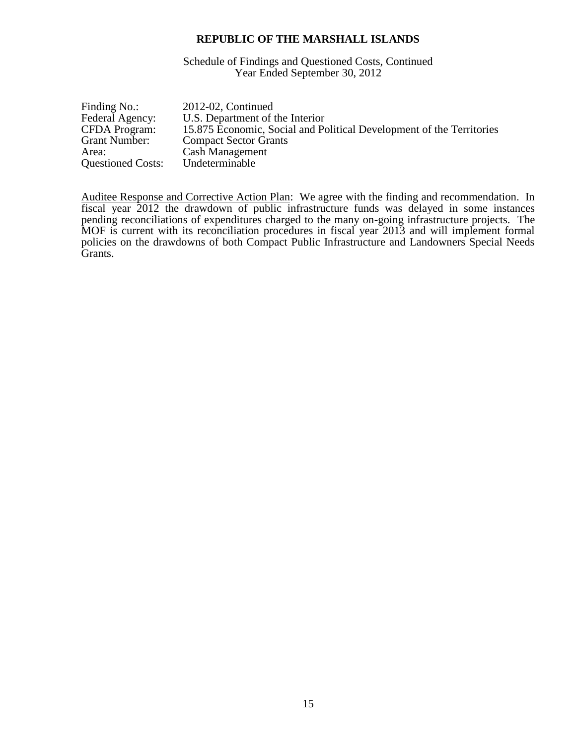Schedule of Findings and Questioned Costs, Continued Year Ended September 30, 2012

| Finding No.:             | $2012-02$ , Continued                                                |
|--------------------------|----------------------------------------------------------------------|
| Federal Agency:          | U.S. Department of the Interior                                      |
| <b>CFDA</b> Program:     | 15.875 Economic, Social and Political Development of the Territories |
| Grant Number:            | <b>Compact Sector Grants</b>                                         |
| Area:                    | <b>Cash Management</b>                                               |
| <b>Questioned Costs:</b> | Undeterminable                                                       |

Auditee Response and Corrective Action Plan: We agree with the finding and recommendation. In fiscal year 2012 the drawdown of public infrastructure funds was delayed in some instances pending reconciliations of expenditures charged to the many on-going infrastructure projects. The MOF is current with its reconciliation procedures in fiscal year 2013 and will implement formal policies on the drawdowns of both Compact Public Infrastructure and Landowners Special Needs Grants.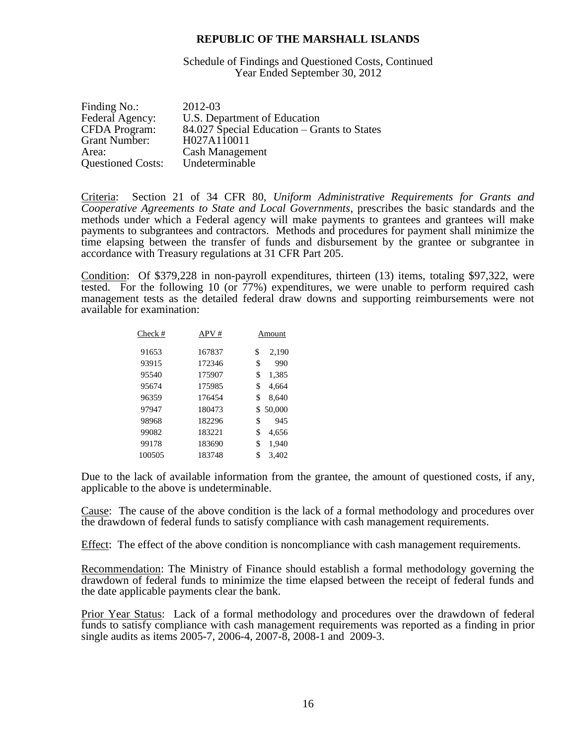Schedule of Findings and Questioned Costs, Continued Year Ended September 30, 2012

| Finding No.:             | 2012-03                                     |
|--------------------------|---------------------------------------------|
| Federal Agency:          | U.S. Department of Education                |
| <b>CFDA</b> Program:     | 84.027 Special Education – Grants to States |
| <b>Grant Number:</b>     | H027A110011                                 |
| Area:                    | Cash Management                             |
| <b>Questioned Costs:</b> | Undeterminable                              |

Criteria: Section 21 of 34 CFR 80, *Uniform Administrative Requirements for Grants and Cooperative Agreements to State and Local Governments*, prescribes the basic standards and the methods under which a Federal agency will make payments to grantees and grantees will make payments to subgrantees and contractors. Methods and procedures for payment shall minimize the time elapsing between the transfer of funds and disbursement by the grantee or subgrantee in accordance with Treasury regulations at 31 CFR Part 205.

Condition: Of \$379,228 in non-payroll expenditures, thirteen (13) items, totaling \$97,322, were tested. For the following 10 (or 77%) expenditures, we were unable to perform required cash management tests as the detailed federal draw downs and supporting reimbursements were not available for examination:

| Check # | APV #  |    | Amount |
|---------|--------|----|--------|
| 91653   | 167837 | \$ | 2,190  |
| 93915   | 172346 | \$ | 990    |
| 95540   | 175907 | \$ | 1,385  |
| 95674   | 175985 | \$ | 4,664  |
| 96359   | 176454 | \$ | 8,640  |
| 97947   | 180473 | \$ | 50,000 |
| 98968   | 182296 | \$ | 945    |
| 99082   | 183221 | \$ | 4,656  |
| 99178   | 183690 | \$ | 1,940  |
| 100505  | 183748 | \$ | 3.402  |

Due to the lack of available information from the grantee, the amount of questioned costs, if any, applicable to the above is undeterminable.

Cause: The cause of the above condition is the lack of a formal methodology and procedures over the drawdown of federal funds to satisfy compliance with cash management requirements.

Effect: The effect of the above condition is noncompliance with cash management requirements.

Recommendation: The Ministry of Finance should establish a formal methodology governing the drawdown of federal funds to minimize the time elapsed between the receipt of federal funds and the date applicable payments clear the bank.

Prior Year Status: Lack of a formal methodology and procedures over the drawdown of federal funds to satisfy compliance with cash management requirements was reported as a finding in prior single audits as items 2005-7, 2006-4, 2007-8, 2008-1 and 2009-3.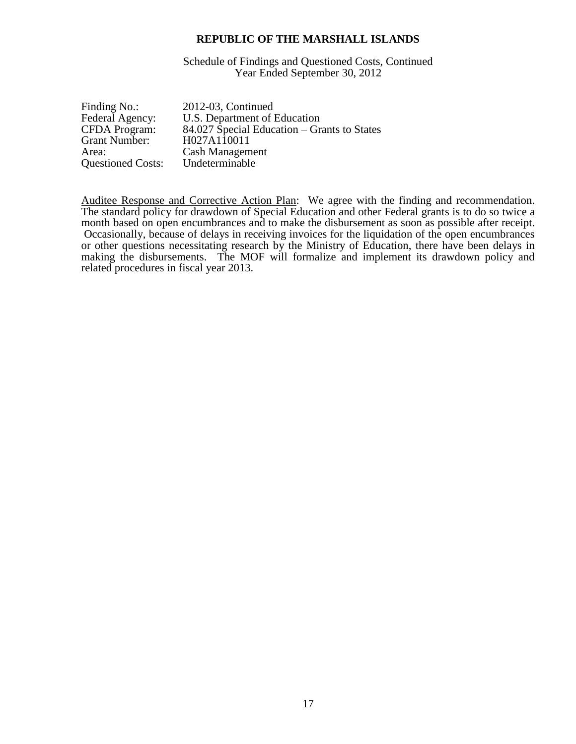Schedule of Findings and Questioned Costs, Continued Year Ended September 30, 2012

| Finding No.:             | 2012-03, Continued                          |
|--------------------------|---------------------------------------------|
| Federal Agency:          | U.S. Department of Education                |
| <b>CFDA</b> Program:     | 84.027 Special Education – Grants to States |
| <b>Grant Number:</b>     | H027A110011                                 |
| Area:                    | Cash Management                             |
| <b>Questioned Costs:</b> | Undeterminable                              |

Auditee Response and Corrective Action Plan: We agree with the finding and recommendation. The standard policy for drawdown of Special Education and other Federal grants is to do so twice a month based on open encumbrances and to make the disbursement as soon as possible after receipt. Occasionally, because of delays in receiving invoices for the liquidation of the open encumbrances or other questions necessitating research by the Ministry of Education, there have been delays in making the disbursements. The MOF will formalize and implement its drawdown policy and related procedures in fiscal year 2013.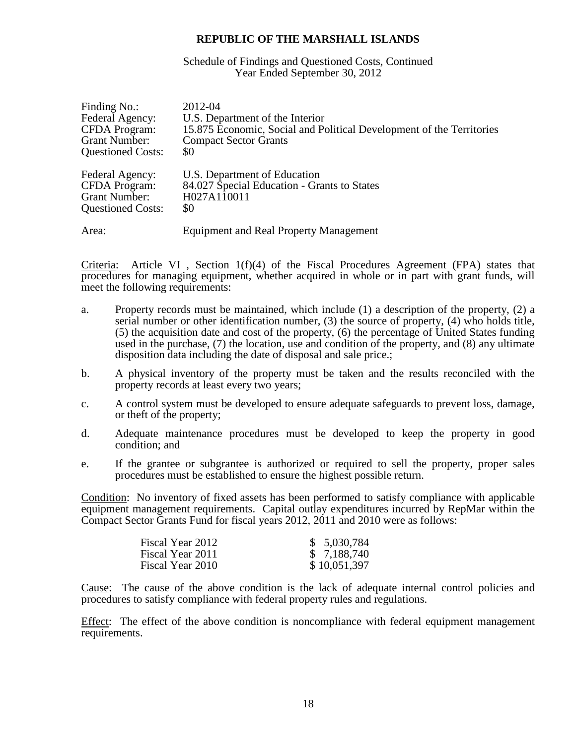Schedule of Findings and Questioned Costs, Continued Year Ended September 30, 2012

| Finding No.:             | 2012-04                                                              |
|--------------------------|----------------------------------------------------------------------|
| Federal Agency:          | U.S. Department of the Interior                                      |
| <b>CFDA</b> Program:     | 15.875 Economic, Social and Political Development of the Territories |
| <b>Grant Number:</b>     | <b>Compact Sector Grants</b>                                         |
| <b>Questioned Costs:</b> | \$0                                                                  |
| Federal Agency:          | U.S. Department of Education                                         |
| <b>CFDA</b> Program:     | 84.027 Special Education - Grants to States                          |
| <b>Grant Number:</b>     | H027A110011                                                          |
| <b>Questioned Costs:</b> | \$0                                                                  |
| Area:                    | Equipment and Real Property Management                               |

Criteria: Article VI, Section  $1(f)(4)$  of the Fiscal Procedures Agreement (FPA) states that procedures for managing equipment, whether acquired in whole or in part with grant funds, will meet the following requirements:

- a. Property records must be maintained, which include (1) a description of the property, (2) a serial number or other identification number, (3) the source of property, (4) who holds title, (5) the acquisition date and cost of the property, (6) the percentage of United States funding used in the purchase, (7) the location, use and condition of the property, and (8) any ultimate disposition data including the date of disposal and sale price.;
- b. A physical inventory of the property must be taken and the results reconciled with the property records at least every two years;
- c. A control system must be developed to ensure adequate safeguards to prevent loss, damage, or theft of the property;
- d. Adequate maintenance procedures must be developed to keep the property in good condition; and
- e. If the grantee or subgrantee is authorized or required to sell the property, proper sales procedures must be established to ensure the highest possible return.

Condition: No inventory of fixed assets has been performed to satisfy compliance with applicable equipment management requirements. Capital outlay expenditures incurred by RepMar within the Compact Sector Grants Fund for fiscal years 2012, 2011 and 2010 were as follows:

| Fiscal Year 2012 | \$5,030,784  |
|------------------|--------------|
| Fiscal Year 2011 | \$ 7,188,740 |
| Fiscal Year 2010 | \$10,051,397 |

Cause: The cause of the above condition is the lack of adequate internal control policies and procedures to satisfy compliance with federal property rules and regulations.

Effect: The effect of the above condition is noncompliance with federal equipment management requirements.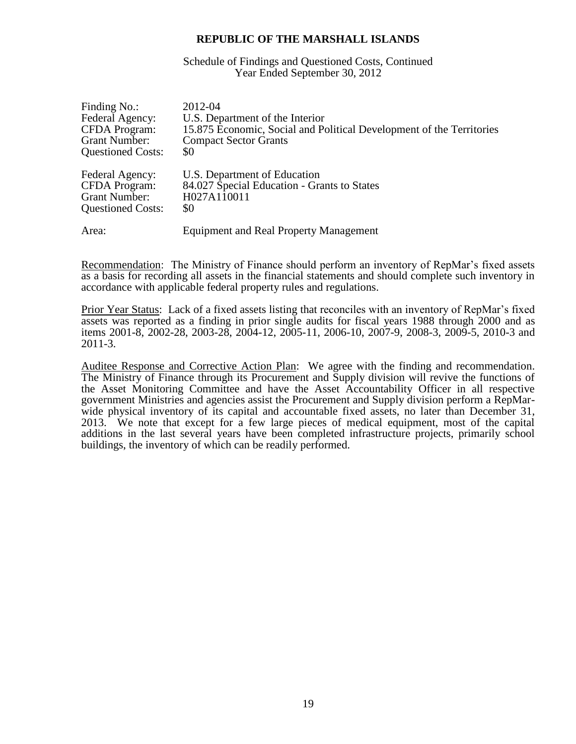Schedule of Findings and Questioned Costs, Continued Year Ended September 30, 2012

| Finding No.:             | 2012-04                                                              |
|--------------------------|----------------------------------------------------------------------|
| Federal Agency:          | U.S. Department of the Interior                                      |
| <b>CFDA</b> Program:     | 15.875 Economic, Social and Political Development of the Territories |
| <b>Grant Number:</b>     | <b>Compact Sector Grants</b>                                         |
| <b>Questioned Costs:</b> | \$0                                                                  |
| Federal Agency:          | U.S. Department of Education                                         |
| <b>CFDA</b> Program:     | 84.027 Special Education - Grants to States                          |
| <b>Grant Number:</b>     | H027A110011                                                          |
| <b>Questioned Costs:</b> | \$0                                                                  |
| Area:                    | <b>Equipment and Real Property Management</b>                        |

Recommendation: The Ministry of Finance should perform an inventory of RepMar's fixed assets as a basis for recording all assets in the financial statements and should complete such inventory in accordance with applicable federal property rules and regulations.

Prior Year Status: Lack of a fixed assets listing that reconciles with an inventory of RepMar's fixed assets was reported as a finding in prior single audits for fiscal years 1988 through 2000 and as items 2001-8, 2002-28, 2003-28, 2004-12, 2005-11, 2006-10, 2007-9, 2008-3, 2009-5, 2010-3 and 2011-3.

Auditee Response and Corrective Action Plan: We agree with the finding and recommendation. The Ministry of Finance through its Procurement and Supply division will revive the functions of the Asset Monitoring Committee and have the Asset Accountability Officer in all respective government Ministries and agencies assist the Procurement and Supply division perform a RepMarwide physical inventory of its capital and accountable fixed assets, no later than December 31, 2013. We note that except for a few large pieces of medical equipment, most of the capital additions in the last several years have been completed infrastructure projects, primarily school buildings, the inventory of which can be readily performed.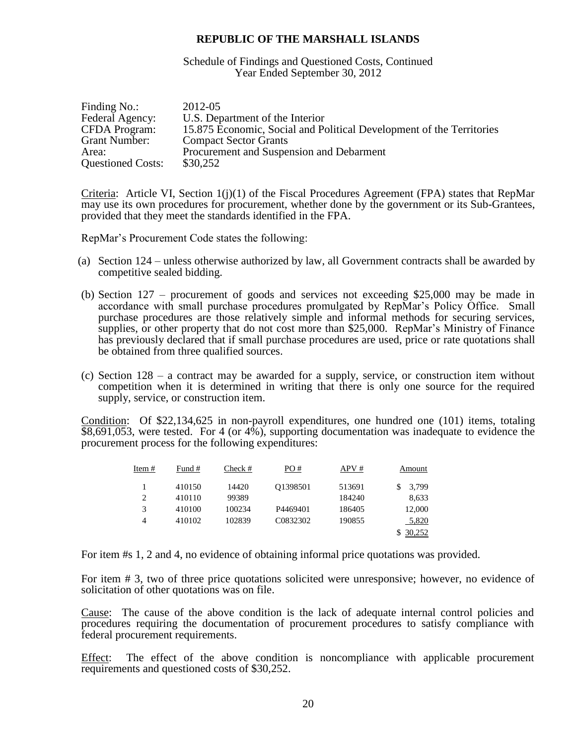Schedule of Findings and Questioned Costs, Continued Year Ended September 30, 2012

| Finding No.:             | 2012-05                                                              |
|--------------------------|----------------------------------------------------------------------|
| Federal Agency:          | U.S. Department of the Interior                                      |
| <b>CFDA</b> Program:     | 15.875 Economic, Social and Political Development of the Territories |
| Grant Number:            | <b>Compact Sector Grants</b>                                         |
| Area:                    | Procurement and Suspension and Debarment                             |
| <b>Questioned Costs:</b> | \$30,252                                                             |

Criteria: Article VI, Section 1(j)(1) of the Fiscal Procedures Agreement (FPA) states that RepMar may use its own procedures for procurement, whether done by the government or its Sub-Grantees, provided that they meet the standards identified in the FPA.

RepMar's Procurement Code states the following:

- (a) Section 124 unless otherwise authorized by law, all Government contracts shall be awarded by competitive sealed bidding.
- (b) Section 127 procurement of goods and services not exceeding \$25,000 may be made in accordance with small purchase procedures promulgated by RepMar's Policy Office. Small purchase procedures are those relatively simple and informal methods for securing services, supplies, or other property that do not cost more than \$25,000. RepMar's Ministry of Finance has previously declared that if small purchase procedures are used, price or rate quotations shall be obtained from three qualified sources.
- (c) Section 128 a contract may be awarded for a supply, service, or construction item without competition when it is determined in writing that there is only one source for the required supply, service, or construction item.

Condition: Of \$22,134,625 in non-payroll expenditures, one hundred one (101) items, totaling \$8,691,053, were tested. For 4 (or 4%), supporting documentation was inadequate to evidence the procurement process for the following expenditures:

| Item $#$ | Fund # | $Check \#$ | PO#      | APV#   | Amount |
|----------|--------|------------|----------|--------|--------|
|          | 410150 | 14420      | 01398501 | 513691 | 3,799  |
| 2        | 410110 | 99389      |          | 184240 | 8,633  |
| 3        | 410100 | 100234     | P4469401 | 186405 | 12,000 |
| 4        | 410102 | 102839     | C0832302 | 190855 | 5,820  |
|          |        |            |          |        | 30,252 |

For item #s 1, 2 and 4, no evidence of obtaining informal price quotations was provided.

For item # 3, two of three price quotations solicited were unresponsive; however, no evidence of solicitation of other quotations was on file.

Cause: The cause of the above condition is the lack of adequate internal control policies and procedures requiring the documentation of procurement procedures to satisfy compliance with federal procurement requirements.

Effect: The effect of the above condition is noncompliance with applicable procurement requirements and questioned costs of \$30,252.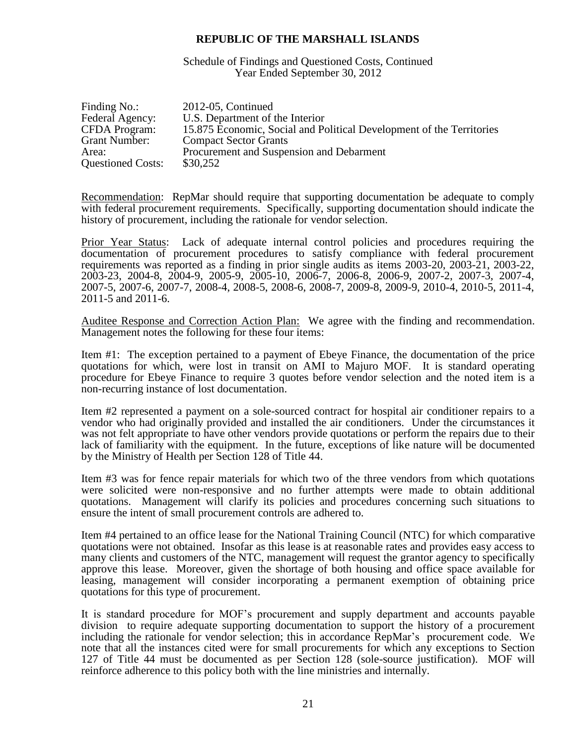Schedule of Findings and Questioned Costs, Continued Year Ended September 30, 2012

| Finding No.:             | $2012-05$ , Continued                                                |
|--------------------------|----------------------------------------------------------------------|
| Federal Agency:          | U.S. Department of the Interior                                      |
| <b>CFDA</b> Program:     | 15.875 Economic, Social and Political Development of the Territories |
| Grant Number:            | <b>Compact Sector Grants</b>                                         |
| Area:                    | Procurement and Suspension and Debarment                             |
| <b>Questioned Costs:</b> | \$30,252                                                             |

Recommendation: RepMar should require that supporting documentation be adequate to comply with federal procurement requirements. Specifically, supporting documentation should indicate the history of procurement, including the rationale for vendor selection.

Prior Year Status: Lack of adequate internal control policies and procedures requiring the documentation of procurement procedures to satisfy compliance with federal procurement requirements was reported as a finding in prior single audits as items 2003-20, 2003-21, 2003-22, 2003-23, 2004-8, 2004-9, 2005-9, 2005-10, 2006-7, 2006-8, 2006-9, 2007-2, 2007-3, 2007-4, 2007-5, 2007-6, 2007-7, 2008-4, 2008-5, 2008-6, 2008-7, 2009-8, 2009-9, 2010-4, 2010-5, 2011-4, 2011-5 and 2011-6.

Auditee Response and Correction Action Plan: We agree with the finding and recommendation. Management notes the following for these four items:

Item #1: The exception pertained to a payment of Ebeye Finance, the documentation of the price quotations for which, were lost in transit on AMI to Majuro MOF. It is standard operating procedure for Ebeye Finance to require 3 quotes before vendor selection and the noted item is a non-recurring instance of lost documentation.

Item #2 represented a payment on a sole-sourced contract for hospital air conditioner repairs to a vendor who had originally provided and installed the air conditioners. Under the circumstances it was not felt appropriate to have other vendors provide quotations or perform the repairs due to their lack of familiarity with the equipment. In the future, exceptions of like nature will be documented by the Ministry of Health per Section 128 of Title 44.

Item #3 was for fence repair materials for which two of the three vendors from which quotations were solicited were non-responsive and no further attempts were made to obtain additional quotations. Management will clarify its policies and procedures concerning such situations to ensure the intent of small procurement controls are adhered to.

Item #4 pertained to an office lease for the National Training Council (NTC) for which comparative quotations were not obtained. Insofar as this lease is at reasonable rates and provides easy access to many clients and customers of the NTC, management will request the grantor agency to specifically approve this lease. Moreover, given the shortage of both housing and office space available for leasing, management will consider incorporating a permanent exemption of obtaining price quotations for this type of procurement.

It is standard procedure for MOF's procurement and supply department and accounts payable division to require adequate supporting documentation to support the history of a procurement including the rationale for vendor selection; this in accordance RepMar's procurement code. We note that all the instances cited were for small procurements for which any exceptions to Section 127 of Title 44 must be documented as per Section 128 (sole-source justification). MOF will reinforce adherence to this policy both with the line ministries and internally.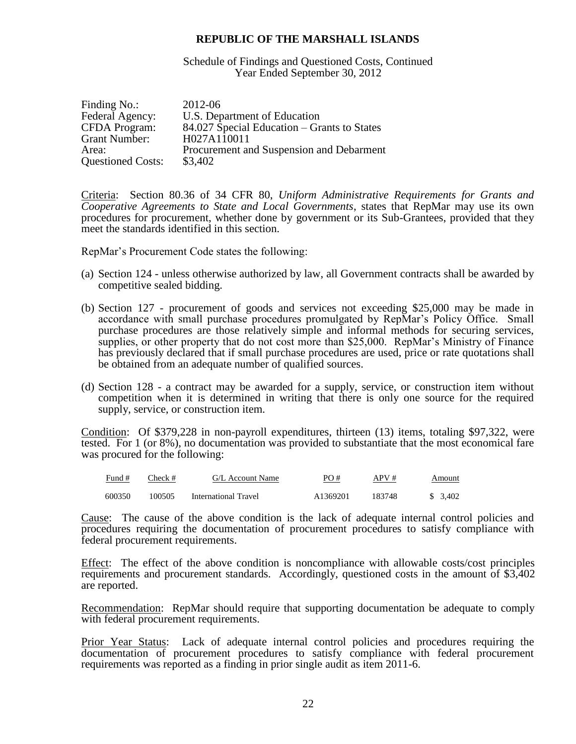Schedule of Findings and Questioned Costs, Continued Year Ended September 30, 2012

| Finding No.:             | 2012-06                                     |
|--------------------------|---------------------------------------------|
| Federal Agency:          | U.S. Department of Education                |
| <b>CFDA Program:</b>     | 84.027 Special Education – Grants to States |
| <b>Grant Number:</b>     | H027A110011                                 |
| Area:                    | Procurement and Suspension and Debarment    |
| <b>Questioned Costs:</b> | \$3,402                                     |

Criteria: Section 80.36 of 34 CFR 80, *Uniform Administrative Requirements for Grants and Cooperative Agreements to State and Local Governments*, states that RepMar may use its own procedures for procurement, whether done by government or its Sub-Grantees, provided that they meet the standards identified in this section.

RepMar's Procurement Code states the following:

- (a) Section 124 unless otherwise authorized by law, all Government contracts shall be awarded by competitive sealed bidding.
- (b) Section 127 procurement of goods and services not exceeding \$25,000 may be made in accordance with small purchase procedures promulgated by RepMar's Policy Office. Small purchase procedures are those relatively simple and informal methods for securing services, supplies, or other property that do not cost more than \$25,000. RepMar's Ministry of Finance has previously declared that if small purchase procedures are used, price or rate quotations shall be obtained from an adequate number of qualified sources.
- (d) Section 128 a contract may be awarded for a supply, service, or construction item without competition when it is determined in writing that there is only one source for the required supply, service, or construction item.

Condition: Of \$379,228 in non-payroll expenditures, thirteen (13) items, totaling \$97,322, were tested. For 1 (or 8%), no documentation was provided to substantiate that the most economical fare was procured for the following:

| Fund $#$ | Check # | G/L Account Name     | PO#      | APV#   | Amount   |
|----------|---------|----------------------|----------|--------|----------|
| 600350   | 100505  | International Travel | A1369201 | 183748 | \$ 3.402 |

Cause: The cause of the above condition is the lack of adequate internal control policies and procedures requiring the documentation of procurement procedures to satisfy compliance with federal procurement requirements.

Effect: The effect of the above condition is noncompliance with allowable costs/cost principles requirements and procurement standards. Accordingly, questioned costs in the amount of \$3,402 are reported.

Recommendation: RepMar should require that supporting documentation be adequate to comply with federal procurement requirements.

Prior Year Status: Lack of adequate internal control policies and procedures requiring the documentation of procurement procedures to satisfy compliance with federal procurement requirements was reported as a finding in prior single audit as item 2011-6.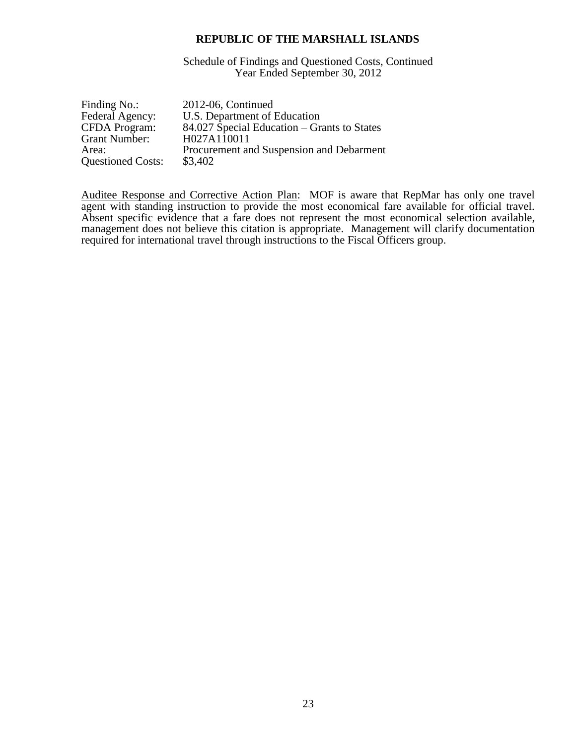Schedule of Findings and Questioned Costs, Continued Year Ended September 30, 2012

| Finding No.:             | $2012-06$ , Continued                       |
|--------------------------|---------------------------------------------|
| Federal Agency:          | U.S. Department of Education                |
| <b>CFDA</b> Program:     | 84.027 Special Education – Grants to States |
| <b>Grant Number:</b>     | H027A110011                                 |
| Area:                    | Procurement and Suspension and Debarment    |
| <b>Questioned Costs:</b> | \$3,402                                     |

Auditee Response and Corrective Action Plan: MOF is aware that RepMar has only one travel agent with standing instruction to provide the most economical fare available for official travel. Absent specific evidence that a fare does not represent the most economical selection available, management does not believe this citation is appropriate. Management will clarify documentation required for international travel through instructions to the Fiscal Officers group.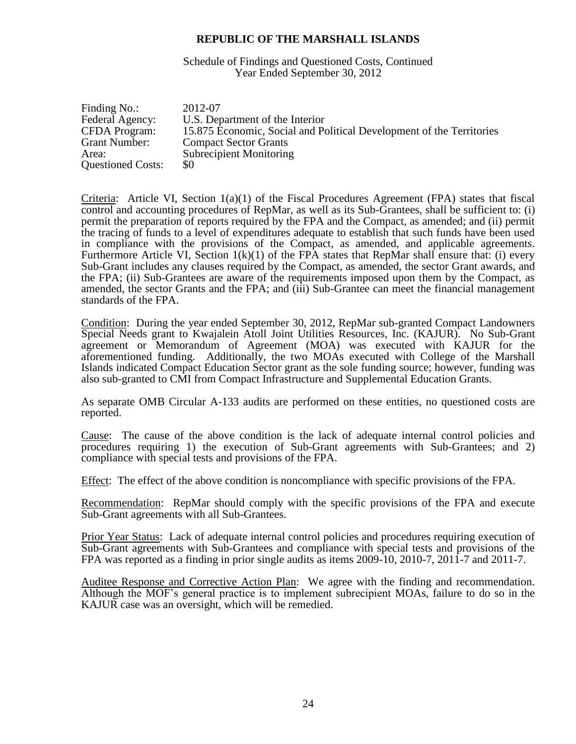Schedule of Findings and Questioned Costs, Continued Year Ended September 30, 2012

Finding No.: 2012-07 Federal Agency: U.S. Department of the Interior<br>CFDA Program: 15.875 Economic. Social and Po CFDA Program: 15.875 Economic, Social and Political Development of the Territories **Compact Sector Grants** Area: Subrecipient Monitoring Questioned Costs: \$0

Criteria: Article VI, Section  $1(a)(1)$  of the Fiscal Procedures Agreement (FPA) states that fiscal control and accounting procedures of RepMar, as well as its Sub-Grantees, shall be sufficient to: (i) permit the preparation of reports required by the FPA and the Compact, as amended; and (ii) permit the tracing of funds to a level of expenditures adequate to establish that such funds have been used in compliance with the provisions of the Compact, as amended, and applicable agreements. Furthermore Article VI, Section  $1(k)(1)$  of the FPA states that RepMar shall ensure that: (i) every Sub-Grant includes any clauses required by the Compact, as amended, the sector Grant awards, and the FPA; (ii) Sub-Grantees are aware of the requirements imposed upon them by the Compact, as amended, the sector Grants and the FPA; and (iii) Sub-Grantee can meet the financial management standards of the FPA.

Condition: During the year ended September 30, 2012, RepMar sub-granted Compact Landowners Special Needs grant to Kwajalein Atoll Joint Utilities Resources, Inc. (KAJUR). No Sub-Grant agreement or Memorandum of Agreement (MOA) was executed with KAJUR for the aforementioned funding. Additionally, the two MOAs executed with College of the Marshall Islands indicated Compact Education Sector grant as the sole funding source; however, funding was also sub-granted to CMI from Compact Infrastructure and Supplemental Education Grants.

As separate OMB Circular A-133 audits are performed on these entities, no questioned costs are reported.

Cause: The cause of the above condition is the lack of adequate internal control policies and procedures requiring 1) the execution of Sub-Grant agreements with Sub-Grantees; and 2) compliance with special tests and provisions of the FPA.

Effect: The effect of the above condition is noncompliance with specific provisions of the FPA.

Recommendation: RepMar should comply with the specific provisions of the FPA and execute Sub-Grant agreements with all Sub-Grantees.

Prior Year Status: Lack of adequate internal control policies and procedures requiring execution of Sub-Grant agreements with Sub-Grantees and compliance with special tests and provisions of the FPA was reported as a finding in prior single audits as items 2009-10, 2010-7, 2011-7 and 2011-7.

Auditee Response and Corrective Action Plan: We agree with the finding and recommendation. Although the MOF's general practice is to implement subrecipient MOAs, failure to do so in the KAJUR case was an oversight, which will be remedied.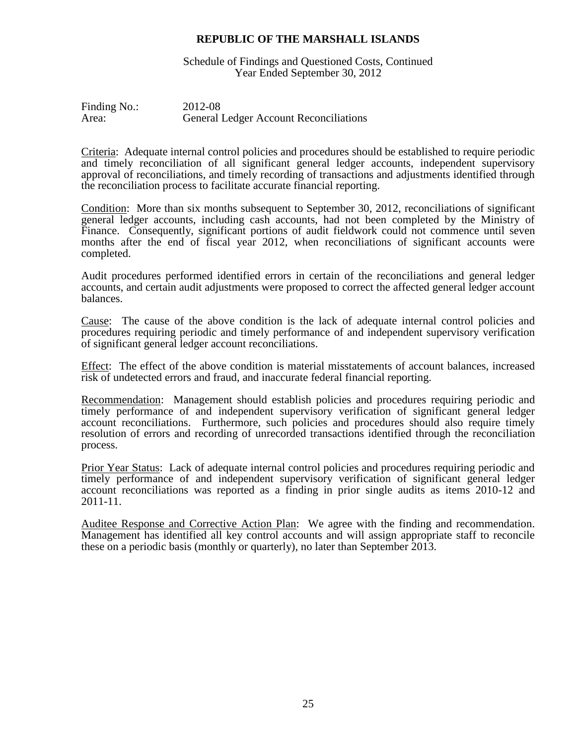Schedule of Findings and Questioned Costs, Continued Year Ended September 30, 2012

Finding No.: 2012-08 Area: General Ledger Account Reconciliations

Criteria: Adequate internal control policies and procedures should be established to require periodic and timely reconciliation of all significant general ledger accounts, independent supervisory approval of reconciliations, and timely recording of transactions and adjustments identified through the reconciliation process to facilitate accurate financial reporting.

Condition: More than six months subsequent to September 30, 2012, reconciliations of significant general ledger accounts, including cash accounts, had not been completed by the Ministry of Finance. Consequently, significant portions of audit fieldwork could not commence until seven months after the end of fiscal year 2012, when reconciliations of significant accounts were completed.

Audit procedures performed identified errors in certain of the reconciliations and general ledger accounts, and certain audit adjustments were proposed to correct the affected general ledger account balances.

Cause: The cause of the above condition is the lack of adequate internal control policies and procedures requiring periodic and timely performance of and independent supervisory verification of significant general ledger account reconciliations.

Effect: The effect of the above condition is material misstatements of account balances, increased risk of undetected errors and fraud, and inaccurate federal financial reporting.

Recommendation: Management should establish policies and procedures requiring periodic and timely performance of and independent supervisory verification of significant general ledger account reconciliations. Furthermore, such policies and procedures should also require timely resolution of errors and recording of unrecorded transactions identified through the reconciliation process.

Prior Year Status: Lack of adequate internal control policies and procedures requiring periodic and timely performance of and independent supervisory verification of significant general ledger account reconciliations was reported as a finding in prior single audits as items 2010-12 and 2011-11.

Auditee Response and Corrective Action Plan: We agree with the finding and recommendation. Management has identified all key control accounts and will assign appropriate staff to reconcile these on a periodic basis (monthly or quarterly), no later than September 2013.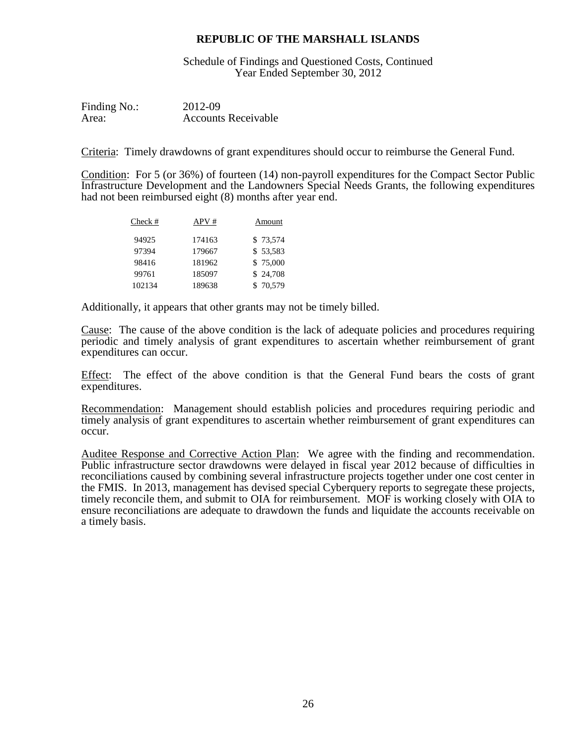Schedule of Findings and Questioned Costs, Continued Year Ended September 30, 2012

Finding No.: 2012-09 Area: Accounts Receivable

Criteria: Timely drawdowns of grant expenditures should occur to reimburse the General Fund.

Condition: For 5 (or 36%) of fourteen (14) non-payroll expenditures for the Compact Sector Public Infrastructure Development and the Landowners Special Needs Grants, the following expenditures had not been reimbursed eight (8) months after year end.

| Check # | APV #  | Amount   |
|---------|--------|----------|
| 94925   | 174163 | \$73,574 |
| 97394   | 179667 | \$53,583 |
| 98416   | 181962 | \$75,000 |
| 99761   | 185097 | \$24,708 |
| 102134  | 189638 | \$70.579 |

Additionally, it appears that other grants may not be timely billed.

Cause: The cause of the above condition is the lack of adequate policies and procedures requiring periodic and timely analysis of grant expenditures to ascertain whether reimbursement of grant expenditures can occur.

Effect: The effect of the above condition is that the General Fund bears the costs of grant expenditures.

Recommendation: Management should establish policies and procedures requiring periodic and timely analysis of grant expenditures to ascertain whether reimbursement of grant expenditures can occur.

Auditee Response and Corrective Action Plan: We agree with the finding and recommendation. Public infrastructure sector drawdowns were delayed in fiscal year 2012 because of difficulties in reconciliations caused by combining several infrastructure projects together under one cost center in the FMIS. In 2013, management has devised special Cyberquery reports to segregate these projects, timely reconcile them, and submit to OIA for reimbursement. MOF is working closely with OIA to ensure reconciliations are adequate to drawdown the funds and liquidate the accounts receivable on a timely basis.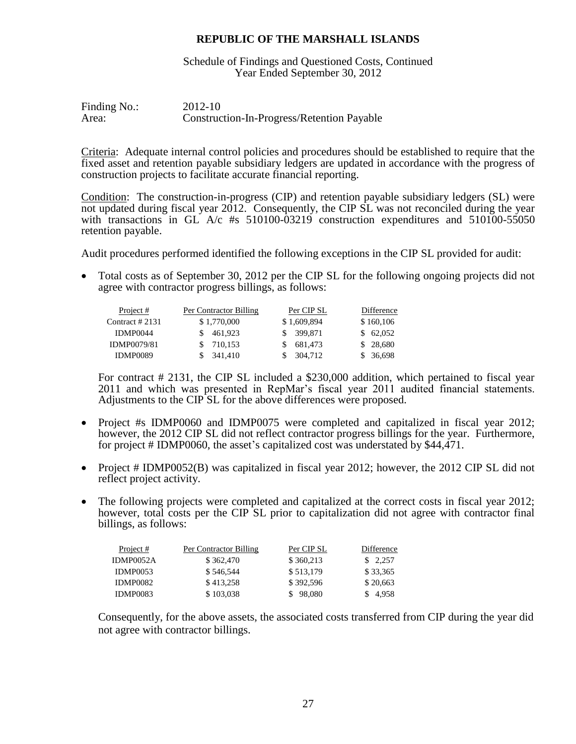Schedule of Findings and Questioned Costs, Continued Year Ended September 30, 2012

Finding No.: 2012-10 Area: Construction-In-Progress/Retention Payable

Criteria: Adequate internal control policies and procedures should be established to require that the fixed asset and retention payable subsidiary ledgers are updated in accordance with the progress of construction projects to facilitate accurate financial reporting.

Condition: The construction-in-progress (CIP) and retention payable subsidiary ledgers (SL) were not updated during fiscal year 2012. Consequently, the CIP SL was not reconciled during the year with transactions in GL A/c #s 510100-03219 construction expenditures and 510100-55050 retention payable.

Audit procedures performed identified the following exceptions in the CIP SL provided for audit:

 Total costs as of September 30, 2012 per the CIP SL for the following ongoing projects did not agree with contractor progress billings, as follows:

| Project #          | Per Contractor Billing | Per CIP SL  | Difference |
|--------------------|------------------------|-------------|------------|
| Contract # 2131    | \$1,770,000            | \$1,609,894 | \$160,106  |
| IDMP0044           | \$461.923              | \$ 399,871  | \$62,052   |
| <b>IDMP0079/81</b> | \$ 710,153             | \$ 681,473  | \$28,680   |
| IDMP0089           | 341,410                | 304,712     | \$ 36,698  |

For contract # 2131, the CIP SL included a \$230,000 addition, which pertained to fiscal year 2011 and which was presented in RepMar's fiscal year 2011 audited financial statements. Adjustments to the CIP SL for the above differences were proposed.

- Project #s IDMP0060 and IDMP0075 were completed and capitalized in fiscal year 2012; however, the 2012 CIP SL did not reflect contractor progress billings for the year. Furthermore, for project # IDMP0060, the asset's capitalized cost was understated by \$44,471.
- Project # IDMP0052(B) was capitalized in fiscal year 2012; however, the 2012 CIP SL did not reflect project activity.
- The following projects were completed and capitalized at the correct costs in fiscal year 2012; however, total costs per the CIP SL prior to capitalization did not agree with contractor final billings, as follows:

| Project #       | Per Contractor Billing | Per CIP SL | Difference |
|-----------------|------------------------|------------|------------|
| IDMP0052A       | \$362,470              | \$360,213  | \$2,257    |
| <b>IDMP0053</b> | \$546,544              | \$513.179  | \$33,365   |
| <b>IDMP0082</b> | \$413.258              | \$392,596  | \$20,663   |
| <b>IDMP0083</b> | \$103,038              | 98.080     | \$4,958    |

Consequently, for the above assets, the associated costs transferred from CIP during the year did not agree with contractor billings.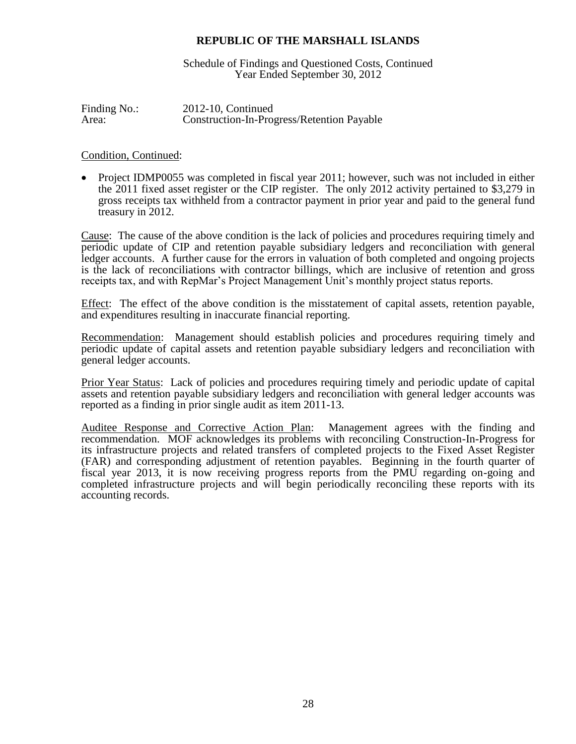Schedule of Findings and Questioned Costs, Continued Year Ended September 30, 2012

Finding No.: 2012-10, Continued Area: Construction-In-Progress/Retention Payable

## Condition, Continued:

 Project IDMP0055 was completed in fiscal year 2011; however, such was not included in either the 2011 fixed asset register or the CIP register. The only 2012 activity pertained to \$3,279 in gross receipts tax withheld from a contractor payment in prior year and paid to the general fund treasury in 2012.

Cause: The cause of the above condition is the lack of policies and procedures requiring timely and periodic update of CIP and retention payable subsidiary ledgers and reconciliation with general ledger accounts. A further cause for the errors in valuation of both completed and ongoing projects is the lack of reconciliations with contractor billings, which are inclusive of retention and gross receipts tax, and with RepMar's Project Management Unit's monthly project status reports.

Effect: The effect of the above condition is the misstatement of capital assets, retention payable, and expenditures resulting in inaccurate financial reporting.

Recommendation: Management should establish policies and procedures requiring timely and periodic update of capital assets and retention payable subsidiary ledgers and reconciliation with general ledger accounts.

Prior Year Status: Lack of policies and procedures requiring timely and periodic update of capital assets and retention payable subsidiary ledgers and reconciliation with general ledger accounts was reported as a finding in prior single audit as item 2011-13.

Auditee Response and Corrective Action Plan: Management agrees with the finding and recommendation. MOF acknowledges its problems with reconciling Construction-In-Progress for its infrastructure projects and related transfers of completed projects to the Fixed Asset Register (FAR) and corresponding adjustment of retention payables. Beginning in the fourth quarter of fiscal year 2013, it is now receiving progress reports from the PMU regarding on-going and completed infrastructure projects and will begin periodically reconciling these reports with its accounting records.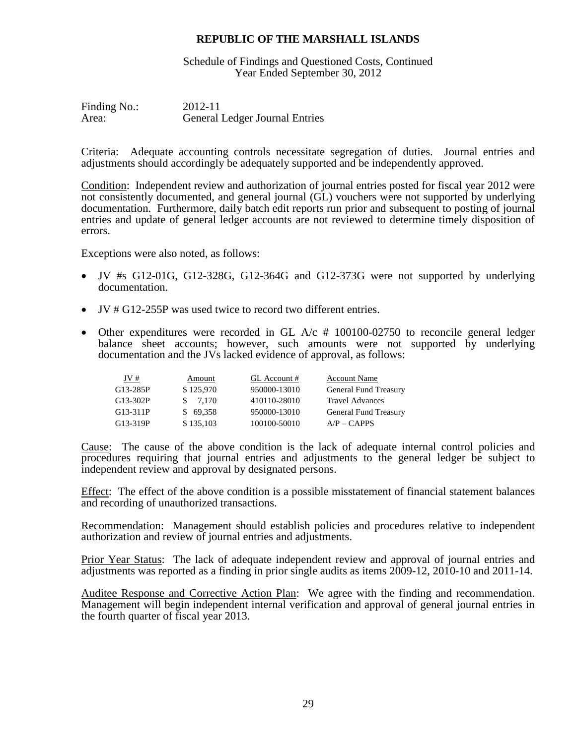Schedule of Findings and Questioned Costs, Continued Year Ended September 30, 2012

Finding No.: 2012-11 Area: General Ledger Journal Entries

Criteria: Adequate accounting controls necessitate segregation of duties. Journal entries and adjustments should accordingly be adequately supported and be independently approved.

Condition: Independent review and authorization of journal entries posted for fiscal year 2012 were not consistently documented, and general journal (GL) vouchers were not supported by underlying documentation. Furthermore, daily batch edit reports run prior and subsequent to posting of journal entries and update of general ledger accounts are not reviewed to determine timely disposition of errors.

Exceptions were also noted, as follows:

- JV #s G12-01G, G12-328G, G12-364G and G12-373G were not supported by underlying documentation.
- JV # G12-255P was used twice to record two different entries.
- Other expenditures were recorded in GL  $A/c$  # 100100-02750 to reconcile general ledger balance sheet accounts; however, such amounts were not supported by underlying documentation and the JVs lacked evidence of approval, as follows:

| JV#      | Amount    | GL Account # | <b>Account Name</b>          |
|----------|-----------|--------------|------------------------------|
| G13-285P | \$125,970 | 950000-13010 | <b>General Fund Treasury</b> |
| G13-302P | \$7.170   | 410110-28010 | <b>Travel Advances</b>       |
| G13-311P | \$69,358  | 950000-13010 | <b>General Fund Treasury</b> |
| G13-319P | \$135,103 | 100100-50010 | $A/P - CAPPS$                |

Cause: The cause of the above condition is the lack of adequate internal control policies and procedures requiring that journal entries and adjustments to the general ledger be subject to independent review and approval by designated persons.

Effect: The effect of the above condition is a possible misstatement of financial statement balances and recording of unauthorized transactions.

Recommendation: Management should establish policies and procedures relative to independent authorization and review of journal entries and adjustments.

Prior Year Status: The lack of adequate independent review and approval of journal entries and adjustments was reported as a finding in prior single audits as items 2009-12, 2010-10 and 2011-14.

Auditee Response and Corrective Action Plan: We agree with the finding and recommendation. Management will begin independent internal verification and approval of general journal entries in the fourth quarter of fiscal year 2013.